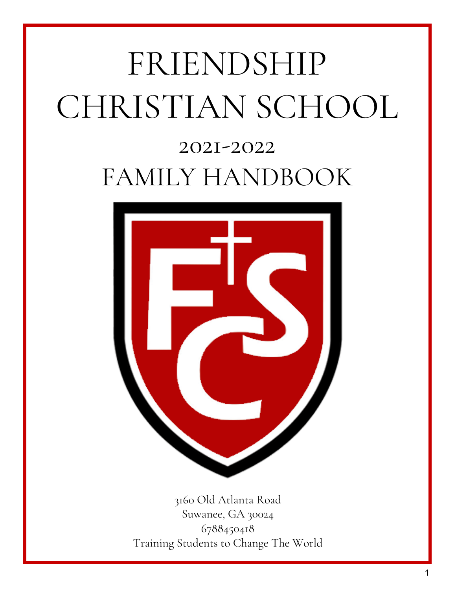# FRIENDSHIP CHRISTIAN SCHOOL

## 2021-2022 FAMILY HANDBOOK



3160 Old Atlanta Road Suwanee, GA 30024 6788450418 Training Students to Change The World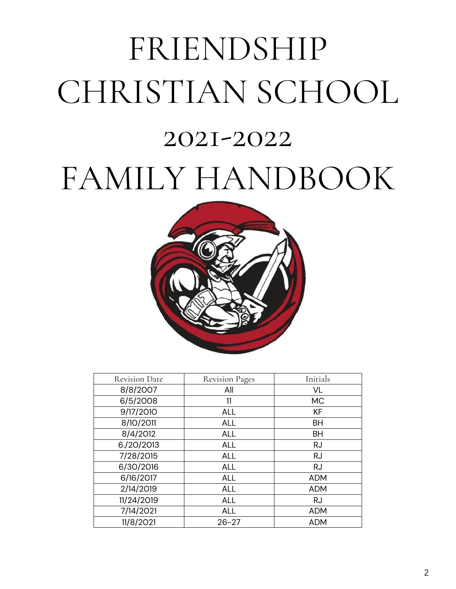## FRIENDSHIP CHRISTIAN SCHOOL 2021-2022 FAMILY HANDBOOK



| <b>Revision Date</b> | <b>Revision Pages</b> | Initials   |
|----------------------|-----------------------|------------|
| 8/8/2007             | All                   | VL         |
| 6/5/2008             | 11                    | <b>MC</b>  |
| 9/17/2010            | <b>ALL</b>            | <b>KF</b>  |
| 8/10/2011            | <b>ALL</b>            | <b>BH</b>  |
| 8/4/2012             | <b>ALL</b>            | <b>BH</b>  |
| 6./20/2013           | <b>ALL</b>            | <b>RJ</b>  |
| 7/28/2015            | <b>ALL</b>            | <b>RJ</b>  |
| 6/30/2016            | <b>ALL</b>            | <b>RJ</b>  |
| 6/16/2017            | <b>ALL</b>            | <b>ADM</b> |
| 2/14/2019            | <b>ALL</b>            | <b>ADM</b> |
| 11/24/2019           | <b>ALL</b>            | <b>RJ</b>  |
| 7/14/2021            | <b>ALL</b>            | <b>ADM</b> |
| 11/8/2021            | $26 - 27$             | <b>ADM</b> |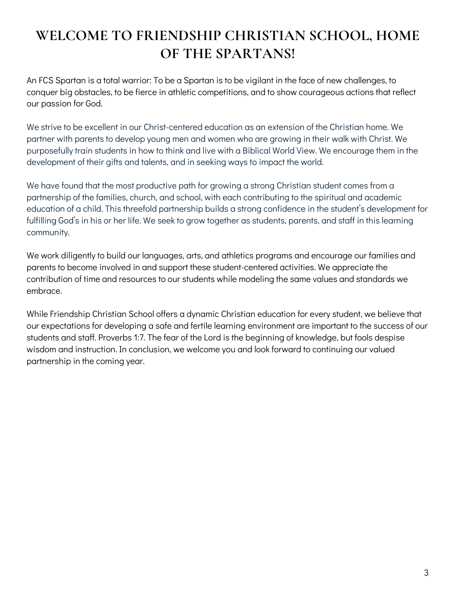## **WELCOME TO FRIENDSHIP CHRISTIAN SCHOOL, HOME OF THE SPARTANS!**

An FCS Spartan is a total warrior: To be a Spartan is to be vigilant in the face of new challenges, to conquer big obstacles, to be fierce in athletic competitions, and to show courageous actions that reflect our passion for God.

We strive to be excellent in our Christ-centered education as an extension of the Christian home. We partner with parents to develop young men and women who are growing in their walk with Christ. We purposefully train students in how to think and live with a Biblical World View. We encourage them in the development of their gifts and talents, and in seeking ways to impact the world.

We have found that the most productive path for growing a strong Christian student comes from a partnership of the families, church, and school, with each contributing to the spiritual and academic education of a child. This threefold partnership builds a strong confidence in the student's development for fulfilling God's in his or her life. We seek to grow together as students, parents, and staff in this learning community.

We work diligently to build our languages, arts, and athletics programs and encourage our families and parents to become involved in and support these student-centered activities. We appreciate the contribution of time and resources to our students while modeling the same values and standards we embrace.

While Friendship Christian School offers a dynamic Christian education for every student, we believe that our expectations for developing a safe and fertile learning environment are important to the success of our students and staff. Proverbs 1:7. The fear of the Lord is the beginning of knowledge, but fools despise wisdom and instruction. In conclusion, we welcome you and look forward to continuing our valued partnership in the coming year.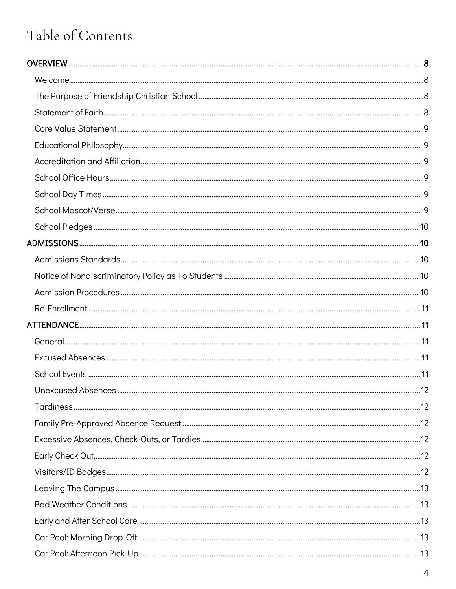## Table of Contents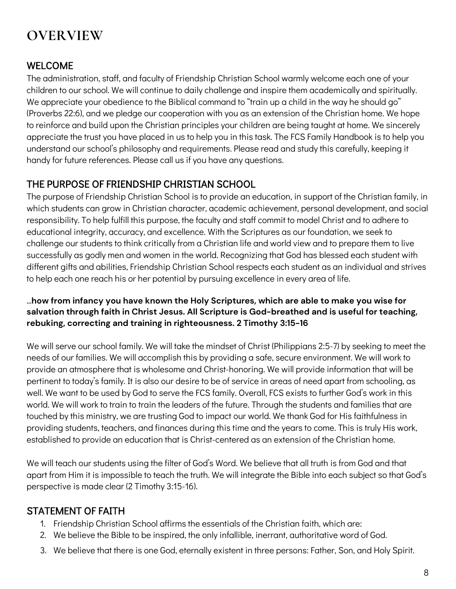## **OVERVIEW**

#### WELCOME

The administration, staff, and faculty of Friendship Christian School warmly welcome each one of your children to our school. We will continue to daily challenge and inspire them academically and spiritually. We appreciate your obedience to the Biblical command to "train up a child in the way he should go" (Proverbs 22:6), and we pledge our cooperation with you as an extension of the Christian home. We hope to reinforce and build upon the Christian principles your children are being taught at home. We sincerely appreciate the trust you have placed in us to help you in this task. The FCS Family Handbook is to help you understand our school's philosophy and requirements. Please read and study this carefully, keeping it handy for future references. Please call us if you have any questions.

#### THE PURPOSE OF FRIENDSHIP CHRISTIAN SCHOOL

The purpose of Friendship Christian School is to provide an education, in support of the Christian family, in which students can grow in Christian character, academic achievement, personal development, and social responsibility. To help fulfill this purpose, the faculty and staff commit to model Christ and to adhere to educational integrity, accuracy, and excellence. With the Scriptures as our foundation, we seek to challenge our students to think critically from a Christian life and world view and to prepare them to live successfully as godly men and women in the world. Recognizing that God has blessed each student with different gifts and abilities, Friendship Christian School respects each student as an individual and strives to help each one reach his or her potential by pursuing excellence in every area of life.

#### …**how from infancy you have known the Holy Scriptures, which are able to make you wise for salvation through faith in Christ Jesus. All Scripture is God-breathed and is useful for teaching, rebuking, correcting and training in righteousness. 2 Timothy 3:15-16**

We will serve our school family. We will take the mindset of Christ (Philippians 2:5-7) by seeking to meet the needs of our families. We will accomplish this by providing a safe, secure environment. We will work to provide an atmosphere that is wholesome and Christ-honoring. We will provide information that will be pertinent to today's family. It is also our desire to be of service in areas of need apart from schooling, as well. We want to be used by God to serve the FCS family. Overall, FCS exists to further God's work in this world. We will work to train to train the leaders of the future. Through the students and families that are touched by this ministry, we are trusting God to impact our world. We thank God for His faithfulness in providing students, teachers, and finances during this time and the years to come. This is truly His work, established to provide an education that is Christ-centered as an extension of the Christian home.

We will teach our students using the filter of God's Word. We believe that all truth is from God and that apart from Him it is impossible to teach the truth. We will integrate the Bible into each subject so that God's perspective is made clear (2 Timothy 3:15-16).

#### STATEMENT OF FAITH

- 1. Friendship Christian School affirms the essentials of the Christian faith, which are:
- 2. We believe the Bible to be inspired, the only infallible, inerrant, authoritative word of God.
- 3. We believe that there is one God, eternally existent in three persons: Father, Son, and Holy Spirit.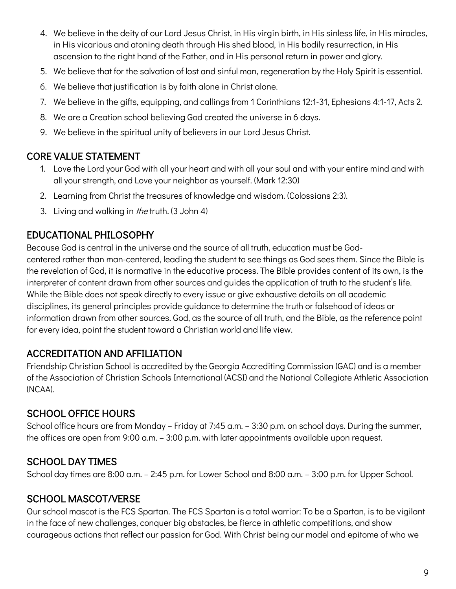- 4. We believe in the deity of our Lord Jesus Christ, in His virgin birth, in His sinless life, in His miracles, in His vicarious and atoning death through His shed blood, in His bodily resurrection, in His ascension to the right hand of the Father, and in His personal return in power and glory.
- 5. We believe that for the salvation of lost and sinful man, regeneration by the Holy Spirit is essential.
- 6. We believe that justification is by faith alone in Christ alone.
- 7. We believe in the gifts, equipping, and callings from 1 Corinthians 12:1-31, Ephesians 4:1-17, Acts 2.
- 8. We are a Creation school believing God created the universe in 6 days.
- 9. We believe in the spiritual unity of believers in our Lord Jesus Christ.

#### CORE VALUE STATEMENT

- 1. Love the Lord your God with all your heart and with all your soul and with your entire mind and with all your strength, and Love your neighbor as yourself. (Mark 12:30)
- 2. Learning from Christ the treasures of knowledge and wisdom. (Colossians 2:3).
- 3. Living and walking in *the* truth. (3 John 4)

#### EDUCATIONAL PHILOSOPHY

Because God is central in the universe and the source of all truth, education must be Godcentered rather than man-centered, leading the student to see things as God sees them. Since the Bible is the revelation of God, it is normative in the educative process. The Bible provides content of its own, is the interpreter of content drawn from other sources and guides the application of truth to the student's life. While the Bible does not speak directly to every issue or give exhaustive details on all academic disciplines, its general principles provide guidance to determine the truth or falsehood of ideas or information drawn from other sources. God, as the source of all truth, and the Bible, as the reference point for every idea, point the student toward a Christian world and life view.

#### ACCREDITATION AND AFFILIATION

Friendship Christian School is accredited by the Georgia Accrediting Commission (GAC) and is a member of the Association of Christian Schools International (ACSI) and the National Collegiate Athletic Association (NCAA).

#### SCHOOL OFFICE HOURS

School office hours are from Monday – Friday at 7:45 a.m. – 3:30 p.m. on school days. During the summer, the offices are open from 9:00 a.m. – 3:00 p.m. with later appointments available upon request.

#### SCHOOL DAY TIMES

School day times are 8:00 a.m. – 2:45 p.m. for Lower School and 8:00 a.m. – 3:00 p.m. for Upper School.

#### SCHOOL MASCOT/VERSE

Our school mascot is the FCS Spartan. The FCS Spartan is a total warrior: To be a Spartan, is to be vigilant in the face of new challenges, conquer big obstacles, be fierce in athletic competitions, and show courageous actions that reflect our passion for God. With Christ being our model and epitome of who we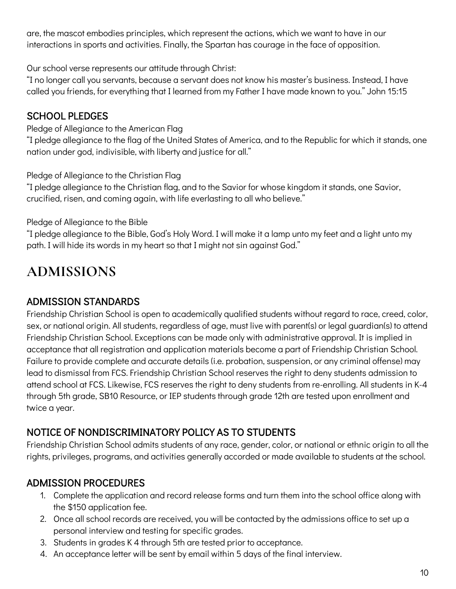are, the mascot embodies principles, which represent the actions, which we want to have in our interactions in sports and activities. Finally, the Spartan has courage in the face of opposition.

Our school verse represents our attitude through Christ:

"I no longer call you servants, because a servant does not know his master's business. Instead, I have called you friends, for everything that I learned from my Father I have made known to you." John 15:15

#### SCHOOL PLEDGES

Pledge of Allegiance to the American Flag

"I pledge allegiance to the flag of the United States of America, and to the Republic for which it stands, one nation under god, indivisible, with liberty and justice for all."

Pledge of Allegiance to the Christian Flag

"I pledge allegiance to the Christian flag, and to the Savior for whose kingdom it stands, one Savior, crucified, risen, and coming again, with life everlasting to all who believe."

Pledge of Allegiance to the Bible

"I pledge allegiance to the Bible, God's Holy Word. I will make it a lamp unto my feet and a light unto my path. I will hide its words in my heart so that I might not sin against God."

## **ADMISSIONS**

#### ADMISSION STANDARDS

Friendship Christian School is open to academically qualified students without regard to race, creed, color, sex, or national origin. All students, regardless of age, must live with parent(s) or legal guardian(s) to attend Friendship Christian School. Exceptions can be made only with administrative approval. It is implied in acceptance that all registration and application materials become a part of Friendship Christian School. Failure to provide complete and accurate details (i.e. probation, suspension, or any criminal offense) may lead to dismissal from FCS. Friendship Christian School reserves the right to deny students admission to attend school at FCS. Likewise, FCS reserves the right to deny students from re-enrolling. All students in K-4 through 5th grade, SB10 Resource, or IEP students through grade 12th are tested upon enrollment and twice a year.

#### NOTICE OF NONDISCRIMINATORY POLICY AS TO STUDENTS

Friendship Christian School admits students of any race, gender, color, or national or ethnic origin to all the rights, privileges, programs, and activities generally accorded or made available to students at the school.

#### ADMISSION PROCEDURES

- 1. Complete the application and record release forms and turn them into the school office along with the \$150 application fee.
- 2. Once all school records are received, you will be contacted by the admissions office to set up a personal interview and testing for specific grades.
- 3. Students in grades K 4 through 5th are tested prior to acceptance.
- 4. An acceptance letter will be sent by email within 5 days of the final interview.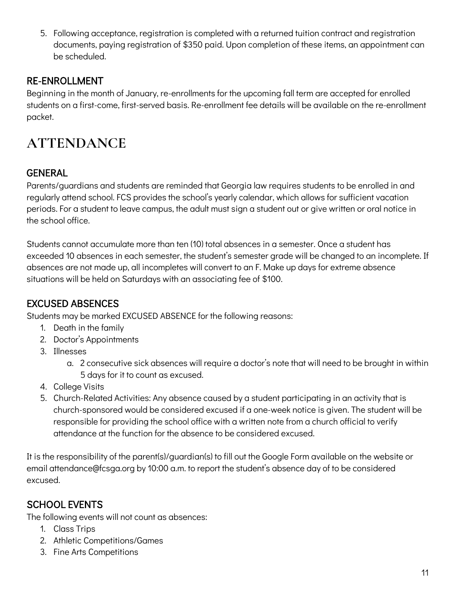5. Following acceptance, registration is completed with a returned tuition contract and registration documents, paying registration of \$350 paid. Upon completion of these items, an appointment can be scheduled.

#### RE-ENROLLMENT

Beginning in the month of January, re-enrollments for the upcoming fall term are accepted for enrolled students on a first-come, first-served basis. Re-enrollment fee details will be available on the re-enrollment packet.

## **ATTENDANCE**

#### **GENERAL**

Parents/guardians and students are reminded that Georgia law requires students to be enrolled in and regularly attend school. FCS provides the school's yearly calendar, which allows for sufficient vacation periods. For a student to leave campus, the adult must sign a student out or give written or oral notice in the school office.

Students cannot accumulate more than ten (10) total absences in a semester. Once a student has exceeded 10 absences in each semester, the student's semester grade will be changed to an incomplete. If absences are not made up, all incompletes will convert to an F. Make up days for extreme absence situations will be held on Saturdays with an associating fee of \$100.

#### EXCUSED ABSENCES

Students may be marked EXCUSED ABSENCE for the following reasons:

- 1. Death in the family
- 2. Doctor's Appointments
- 3. Illnesses
	- a. 2 consecutive sick absences will require a doctor's note that will need to be brought in within 5 days for it to count as excused.
- 4. College Visits
- 5. Church-Related Activities: Any absence caused by a student participating in an activity that is church-sponsored would be considered excused if a one-week notice is given. The student will be responsible for providing the school office with a written note from a church official to verify attendance at the function for the absence to be considered excused.

It is the responsibility of the parent(s)/guardian(s) to fill out the Google Form available on the website or email attendance@fcsga.org by 10:00 a.m. to report the student's absence day of to be considered excused.

#### SCHOOL EVENTS

The following events will not count as absences:

- 1. Class Trips
- 2. Athletic Competitions/Games
- 3. Fine Arts Competitions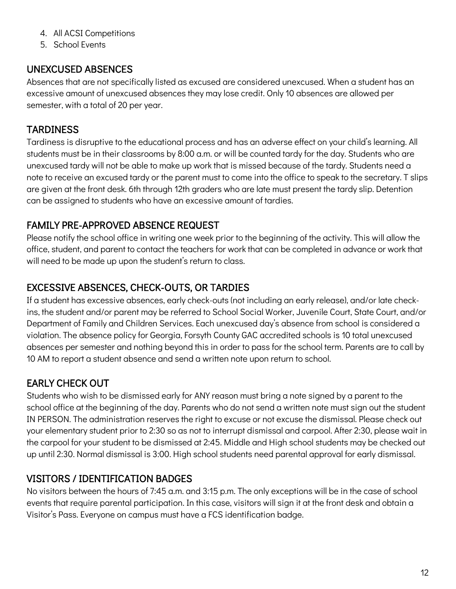- 4. All ACSI Competitions
- 5. School Events

#### UNEXCUSED ABSENCES

Absences that are not specifically listed as excused are considered unexcused. When a student has an excessive amount of unexcused absences they may lose credit. Only 10 absences are allowed per semester, with a total of 20 per year.

#### **TARDINESS**

Tardiness is disruptive to the educational process and has an adverse effect on your child's learning. All students must be in their classrooms by 8:00 a.m. or will be counted tardy for the day. Students who are unexcused tardy will not be able to make up work that is missed because of the tardy. Students need a note to receive an excused tardy or the parent must to come into the office to speak to the secretary. T slips are given at the front desk. 6th through 12th graders who are late must present the tardy slip. Detention can be assigned to students who have an excessive amount of tardies.

#### FAMILY PRE-APPROVED ABSENCE REQUEST

Please notify the school office in writing one week prior to the beginning of the activity. This will allow the office, student, and parent to contact the teachers for work that can be completed in advance or work that will need to be made up upon the student's return to class.

#### EXCESSIVE ABSENCES, CHECK-OUTS, OR TARDIES

If a student has excessive absences, early check-outs (not including an early release), and/or late checkins, the student and/or parent may be referred to School Social Worker, Juvenile Court, State Court, and/or Department of Family and Children Services. Each unexcused day's absence from school is considered a violation. The absence policy for Georgia, Forsyth County GAC accredited schools is 10 total unexcused absences per semester and nothing beyond this in order to pass for the school term. Parents are to call by 10 AM to report a student absence and send a written note upon return to school.

#### EARLY CHECK OUT

Students who wish to be dismissed early for ANY reason must bring a note signed by a parent to the school office at the beginning of the day. Parents who do not send a written note must sign out the student IN PERSON. The administration reserves the right to excuse or not excuse the dismissal. Please check out your elementary student prior to 2:30 so as not to interrupt dismissal and carpool. After 2:30, please wait in the carpool for your student to be dismissed at 2:45. Middle and High school students may be checked out up until 2:30. Normal dismissal is 3:00. High school students need parental approval for early dismissal.

#### VISITORS / IDENTIFICATION BADGES

No visitors between the hours of 7:45 a.m. and 3:15 p.m. The only exceptions will be in the case of school events that require parental participation. In this case, visitors will sign it at the front desk and obtain a Visitor's Pass. Everyone on campus must have a FCS identification badge.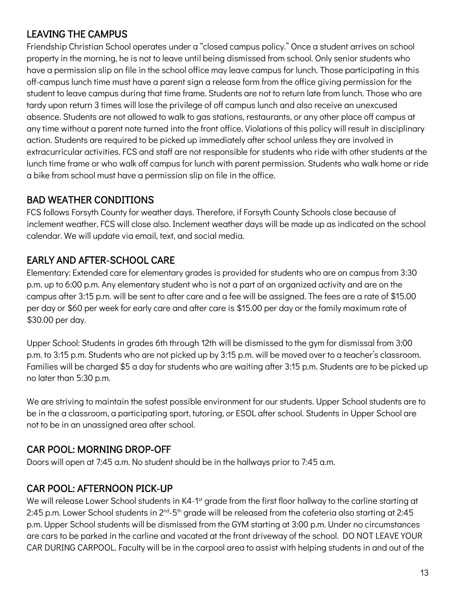#### LEAVING THE CAMPUS

Friendship Christian School operates under a "closed campus policy." Once a student arrives on school property in the morning, he is not to leave until being dismissed from school. Only senior students who have a permission slip on file in the school office may leave campus for lunch. Those participating in this off-campus lunch time must have a parent sign a release form from the office giving permission for the student to leave campus during that time frame. Students are not to return late from lunch. Those who are tardy upon return 3 times will lose the privilege of off campus lunch and also receive an unexcused absence. Students are not allowed to walk to gas stations, restaurants, or any other place off campus at any time without a parent note turned into the front office. Violations of this policy will result in disciplinary action. Students are required to be picked up immediately after school unless they are involved in extracurricular activities. FCS and staff are not responsible for students who ride with other students at the lunch time frame or who walk off campus for lunch with parent permission. Students who walk home or ride a bike from school must have a permission slip on file in the office.

#### BAD WEATHER CONDITIONS

FCS follows Forsyth County for weather days. Therefore, if Forsyth County Schools close because of inclement weather, FCS will close also. Inclement weather days will be made up as indicated on the school calendar. We will update via email, text, and social media.

#### EARLY AND AFTER-SCHOOL CARE

Elementary: Extended care for elementary grades is provided for students who are on campus from 3:30 p.m. up to 6:00 p.m. Any elementary student who is not a part of an organized activity and are on the campus after 3:15 p.m. will be sent to after care and a fee will be assigned. The fees are a rate of \$15.00 per day or \$60 per week for early care and after care is \$15.00 per day or the family maximum rate of \$30.00 per day.

Upper School: Students in grades 6th through 12th will be dismissed to the gym for dismissal from 3:00 p.m. to 3:15 p.m. Students who are not picked up by 3:15 p.m. will be moved over to a teacher's classroom. Families will be charged \$5 a day for students who are waiting after 3:15 p.m. Students are to be picked up no later than 5:30 p.m.

We are striving to maintain the safest possible environment for our students. Upper School students are to be in the a classroom, a participating sport, tutoring, or ESOL after school. Students in Upper School are not to be in an unassigned area after school.

#### CAR POOL: MORNING DROP-OFF

Doors will open at 7:45 a.m. No student should be in the hallways prior to 7:45 a.m.

#### CAR POOL: AFTERNOON PICK-UP

We will release Lower School students in K4-1<sup>st</sup> grade from the first floor hallway to the carline starting at 2:45 p.m. Lower School students in 2<sup>nd</sup>-5<sup>th</sup> grade will be released from the cafeteria also starting at 2:45 p.m. Upper School students will be dismissed from the GYM starting at 3:00 p.m. Under no circumstances are cars to be parked in the carline and vacated at the front driveway of the school. DO NOT LEAVE YOUR CAR DURING CARPOOL. Faculty will be in the carpool area to assist with helping students in and out of the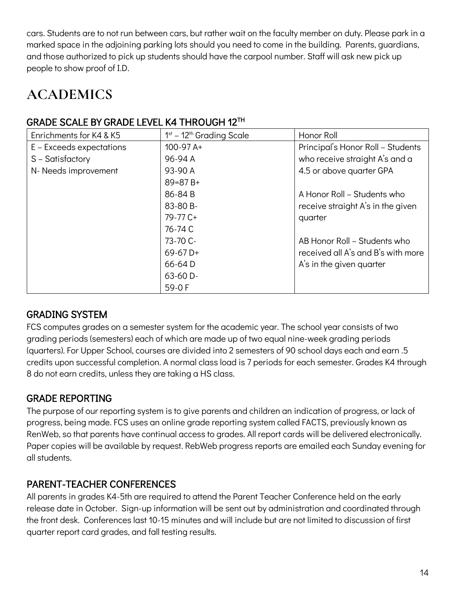cars. Students are to not run between cars, but rather wait on the faculty member on duty. Please park in a marked space in the adjoining parking lots should you need to come in the building. Parents, guardians, and those authorized to pick up students should have the carpool number. Staff will ask new pick up people to show proof of I.D.

## **ACADEMICS**

#### GRADE SCALE BY GRADE LEVEL K4 THROUGH 12TH

| Enrichments for K4 & K5  | 1 <sup>st</sup> - 12 <sup>th</sup> Grading Scale | Honor Roll                         |
|--------------------------|--------------------------------------------------|------------------------------------|
| E – Exceeds expectations | $100-97A+$                                       | Principal's Honor Roll - Students  |
| S - Satisfactory         | 96-94 A                                          | who receive straight A's and a     |
| N- Needs improvement     | 93-90 A                                          | 4.5 or above quarter GPA           |
|                          | $89 = 87 B +$                                    |                                    |
|                          | 86-84 B                                          | A Honor Roll – Students who        |
|                          | 83-80 B-                                         | receive straight A's in the given  |
|                          | 79-77 C+                                         | quarter                            |
|                          | 76-74 C                                          |                                    |
|                          | 73-70 C-                                         | AB Honor Roll - Students who       |
|                          | $69-67D+$                                        | received all A's and B's with more |
|                          | 66-64 D                                          | A's in the given quarter           |
|                          | 63-60 D-                                         |                                    |
|                          | $59-0 F$                                         |                                    |

#### GRADING SYSTEM

FCS computes grades on a semester system for the academic year. The school year consists of two grading periods (semesters) each of which are made up of two equal nine-week grading periods (quarters). For Upper School, courses are divided into 2 semesters of 90 school days each and earn .5 credits upon successful completion. A normal class load is 7 periods for each semester. Grades K4 through 8 do not earn credits, unless they are taking a HS class.

#### GRADE REPORTING

The purpose of our reporting system is to give parents and children an indication of progress, or lack of progress, being made. FCS uses an online grade reporting system called FACTS, previously known as RenWeb, so that parents have continual access to grades. All report cards will be delivered electronically. Paper copies will be available by request. RebWeb progress reports are emailed each Sunday evening for all students.

#### PARENT-TEACHER CONFERENCES

All parents in grades K4-5th are required to attend the Parent Teacher Conference held on the early release date in October. Sign-up information will be sent out by administration and coordinated through the front desk. Conferences last 10-15 minutes and will include but are not limited to discussion of first quarter report card grades, and fall testing results.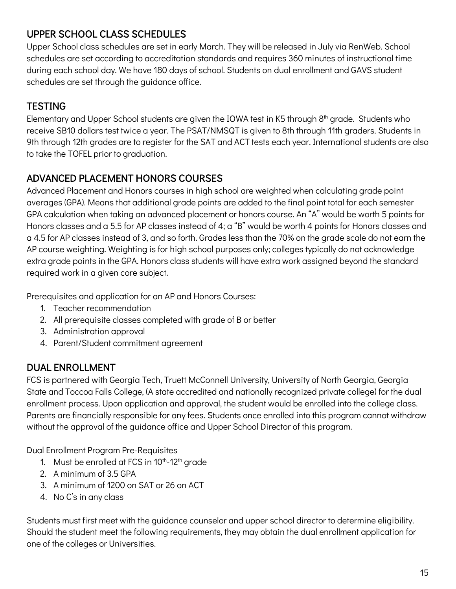#### UPPER SCHOOL CLASS SCHEDULES

Upper School class schedules are set in early March. They will be released in July via RenWeb. School schedules are set according to accreditation standards and requires 360 minutes of instructional time during each school day. We have 180 days of school. Students on dual enrollment and GAVS student schedules are set through the guidance office.

#### **TESTING**

Elementary and Upper School students are given the IOWA test in K5 through 8<sup>th</sup> grade. Students who receive SB10 dollars test twice a year. The PSAT/NMSQT is given to 8th through 11th graders. Students in 9th through 12th grades are to register for the SAT and ACT tests each year. International students are also to take the TOFEL prior to graduation.

#### ADVANCED PLACEMENT HONORS COURSES

Advanced Placement and Honors courses in high school are weighted when calculating grade point averages (GPA). Means that additional grade points are added to the final point total for each semester GPA calculation when taking an advanced placement or honors course. An "A" would be worth 5 points for Honors classes and a 5.5 for AP classes instead of 4; a "B" would be worth 4 points for Honors classes and a 4.5 for AP classes instead of 3, and so forth. Grades less than the 70% on the grade scale do not earn the AP course weighting. Weighting is for high school purposes only; colleges typically do not acknowledge extra grade points in the GPA. Honors class students will have extra work assigned beyond the standard required work in a given core subject.

Prerequisites and application for an AP and Honors Courses:

- 1. Teacher recommendation
- 2. All prerequisite classes completed with grade of B or better
- 3. Administration approval
- 4. Parent/Student commitment agreement

#### DUAL ENROLLMENT

FCS is partnered with Georgia Tech, Truett McConnell University, University of North Georgia, Georgia State and Toccoa Falls College, (A state accredited and nationally recognized private college) for the dual enrollment process. Upon application and approval, the student would be enrolled into the college class. Parents are financially responsible for any fees. Students once enrolled into this program cannot withdraw without the approval of the guidance office and Upper School Director of this program.

Dual Enrollment Program Pre-Requisites

- 1. Must be enrolled at FCS in  $10^{th}$ -12<sup>th</sup> grade
- 2. A minimum of 3.5 GPA
- 3. A minimum of 1200 on SAT or 26 on ACT
- 4. No C's in any class

Students must first meet with the guidance counselor and upper school director to determine eligibility. Should the student meet the following requirements, they may obtain the dual enrollment application for one of the colleges or Universities.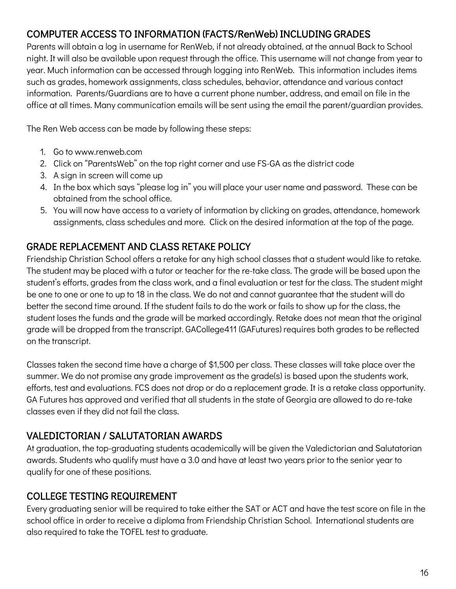#### COMPUTER ACCESS TO INFORMATION (FACTS/RenWeb) INCLUDING GRADES

Parents will obtain a log in username for RenWeb, if not already obtained, at the annual Back to School night. It will also be available upon request through the office. This username will not change from year to year. Much information can be accessed through logging into RenWeb. This information includes items such as grades, homework assignments, class schedules, behavior, attendance and various contact information. Parents/Guardians are to have a current phone number, address, and email on file in the office at all times. Many communication emails will be sent using the email the parent/guardian provides.

The Ren Web access can be made by following these steps:

- 1. Go to www.renweb.com
- 2. Click on "ParentsWeb" on the top right corner and use FS-GA as the district code
- 3. A sign in screen will come up
- 4. In the box which says "please log in" you will place your user name and password. These can be obtained from the school office.
- 5. You will now have access to a variety of information by clicking on grades, attendance, homework assignments, class schedules and more. Click on the desired information at the top of the page.

#### GRADE REPLACEMENT AND CLASS RETAKE POLICY

Friendship Christian School offers a retake for any high school classes that a student would like to retake. The student may be placed with a tutor or teacher for the re-take class. The grade will be based upon the student's efforts, grades from the class work, and a final evaluation or test for the class. The student might be one to one or one to up to 18 in the class. We do not and cannot guarantee that the student will do better the second time around. If the student fails to do the work or fails to show up for the class, the student loses the funds and the grade will be marked accordingly. Retake does not mean that the original grade will be dropped from the transcript. GACollege411 (GAFutures) requires both grades to be reflected on the transcript.

Classes taken the second time have a charge of \$1,500 per class. These classes will take place over the summer. We do not promise any grade improvement as the grade(s) is based upon the students work, efforts, test and evaluations. FCS does not drop or do a replacement grade. It is a retake class opportunity. GA Futures has approved and verified that all students in the state of Georgia are allowed to do re-take classes even if they did not fail the class.

#### VALEDICTORIAN / SALUTATORIAN AWARDS

At graduation, the top-graduating students academically will be given the Valedictorian and Salutatorian awards. Students who qualify must have a 3.0 and have at least two years prior to the senior year to qualify for one of these positions.

#### COLLEGE TESTING REQUIREMENT

Every graduating senior will be required to take either the SAT or ACT and have the test score on file in the school office in order to receive a diploma from Friendship Christian School. International students are also required to take the TOFEL test to graduate.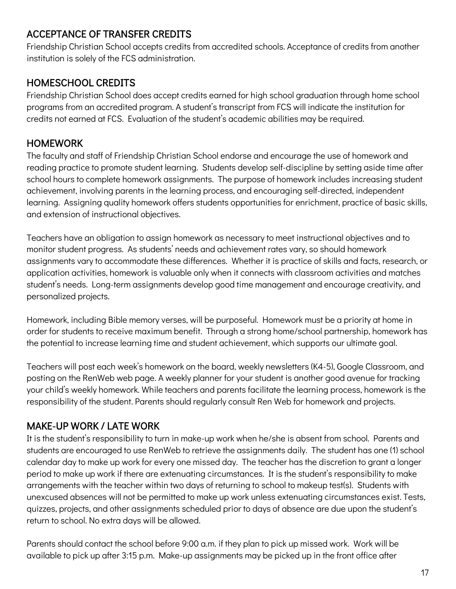#### ACCEPTANCE OF TRANSFER CREDITS

Friendship Christian School accepts credits from accredited schools. Acceptance of credits from another institution is solely of the FCS administration.

#### HOMESCHOOL CREDITS

Friendship Christian School does accept credits earned for high school graduation through home school programs from an accredited program. A student's transcript from FCS will indicate the institution for credits not earned at FCS. Evaluation of the student's academic abilities may be required.

#### **HOMEWORK**

The faculty and staff of Friendship Christian School endorse and encourage the use of homework and reading practice to promote student learning. Students develop self-discipline by setting aside time after school hours to complete homework assignments. The purpose of homework includes increasing student achievement, involving parents in the learning process, and encouraging self-directed, independent learning. Assigning quality homework offers students opportunities for enrichment, practice of basic skills, and extension of instructional objectives.

Teachers have an obligation to assign homework as necessary to meet instructional objectives and to monitor student progress. As students' needs and achievement rates vary, so should homework assignments vary to accommodate these differences. Whether it is practice of skills and facts, research, or application activities, homework is valuable only when it connects with classroom activities and matches student's needs. Long-term assignments develop good time management and encourage creativity, and personalized projects.

Homework, including Bible memory verses, will be purposeful. Homework must be a priority at home in order for students to receive maximum benefit. Through a strong home/school partnership, homework has the potential to increase learning time and student achievement, which supports our ultimate goal.

Teachers will post each week's homework on the board, weekly newsletters (K4-5), Google Classroom, and posting on the RenWeb web page. A weekly planner for your student is another good avenue for tracking your child's weekly homework. While teachers and parents facilitate the learning process, homework is the responsibility of the student. Parents should regularly consult Ren Web for homework and projects.

#### MAKE-UP WORK / LATE WORK

It is the student's responsibility to turn in make-up work when he/she is absent from school. Parents and students are encouraged to use RenWeb to retrieve the assignments daily. The student has one (1) school calendar day to make up work for every one missed day. The teacher has the discretion to grant a longer period to make up work if there are extenuating circumstances. It is the student's responsibility to make arrangements with the teacher within two days of returning to school to makeup test(s). Students with unexcused absences will not be permitted to make up work unless extenuating circumstances exist. Tests, quizzes, projects, and other assignments scheduled prior to days of absence are due upon the student's return to school. No extra days will be allowed.

Parents should contact the school before 9:00 a.m. if they plan to pick up missed work. Work will be available to pick up after 3:15 p.m. Make-up assignments may be picked up in the front office after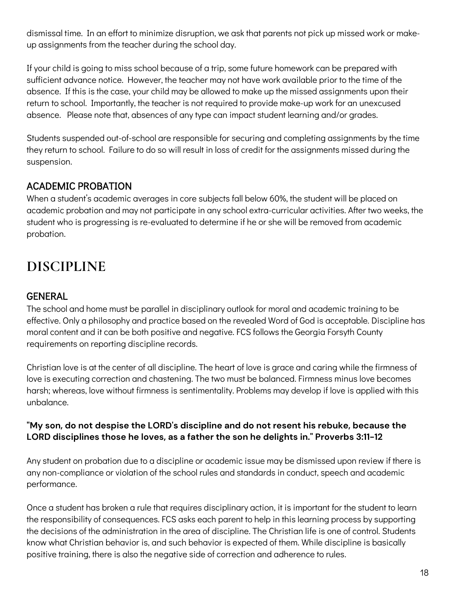dismissal time. In an effort to minimize disruption, we ask that parents not pick up missed work or makeup assignments from the teacher during the school day.

If your child is going to miss school because of a trip, some future homework can be prepared with sufficient advance notice. However, the teacher may not have work available prior to the time of the absence. If this is the case, your child may be allowed to make up the missed assignments upon their return to school. Importantly, the teacher is not required to provide make-up work for an unexcused absence. Please note that, absences of any type can impact student learning and/or grades.

Students suspended out-of-school are responsible for securing and completing assignments by the time they return to school. Failure to do so will result in loss of credit for the assignments missed during the suspension.

#### ACADEMIC PROBATION

When a student's academic averages in core subjects fall below 60%, the student will be placed on academic probation and may not participate in any school extra-curricular activities. After two weeks, the student who is progressing is re-evaluated to determine if he or she will be removed from academic probation.

## **DISCIPLINE**

#### **GENERAL**

The school and home must be parallel in disciplinary outlook for moral and academic training to be effective. Only a philosophy and practice based on the revealed Word of God is acceptable. Discipline has moral content and it can be both positive and negative. FCS follows the Georgia Forsyth County requirements on reporting discipline records.

Christian love is at the center of all discipline. The heart of love is grace and caring while the firmness of love is executing correction and chastening. The two must be balanced. Firmness minus love becomes harsh; whereas, love without firmness is sentimentality. Problems may develop if love is applied with this unbalance.

#### **"My son, do not despise the LORD's discipline and do not resent his rebuke, because the LORD disciplines those he loves, as a father the son he delights in." Proverbs 3:11-12**

Any student on probation due to a discipline or academic issue may be dismissed upon review if there is any non-compliance or violation of the school rules and standards in conduct, speech and academic performance.

Once a student has broken a rule that requires disciplinary action, it is important for the student to learn the responsibility of consequences. FCS asks each parent to help in this learning process by supporting the decisions of the administration in the area of discipline. The Christian life is one of control. Students know what Christian behavior is, and such behavior is expected of them. While discipline is basically positive training, there is also the negative side of correction and adherence to rules.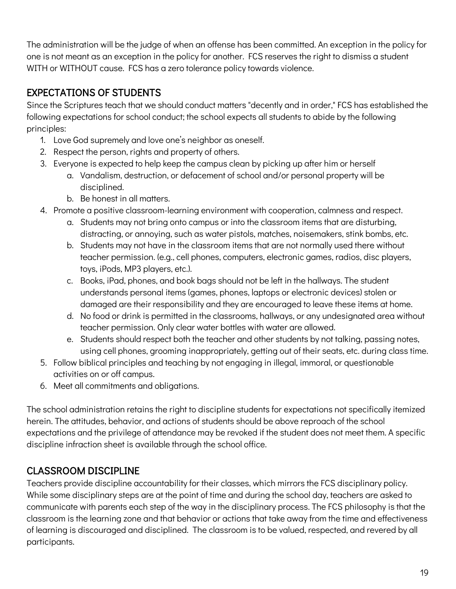The administration will be the judge of when an offense has been committed. An exception in the policy for one is not meant as an exception in the policy for another. FCS reserves the right to dismiss a student WITH or WITHOUT cause. FCS has a zero tolerance policy towards violence.

#### EXPECTATIONS OF STUDENTS

Since the Scriptures teach that we should conduct matters "decently and in order," FCS has established the following expectations for school conduct; the school expects all students to abide by the following principles:

- 1. Love God supremely and love one's neighbor as oneself.
- 2. Respect the person, rights and property of others.
- 3. Everyone is expected to help keep the campus clean by picking up after him or herself
	- a. Vandalism, destruction, or defacement of school and/or personal property will be disciplined.
	- b. Be honest in all matters.
- 4. Promote a positive classroom-learning environment with cooperation, calmness and respect.
	- a. Students may not bring onto campus or into the classroom items that are disturbing, distracting, or annoying, such as water pistols, matches, noisemakers, stink bombs, etc.
	- b. Students may not have in the classroom items that are not normally used there without teacher permission. (e.g., cell phones, computers, electronic games, radios, disc players, toys, iPods, MP3 players, etc.).
	- c. Books, iPad, phones, and book bags should not be left in the hallways. The student understands personal items (games, phones, laptops or electronic devices) stolen or damaged are their responsibility and they are encouraged to leave these items at home.
	- d. No food or drink is permitted in the classrooms, hallways, or any undesignated area without teacher permission. Only clear water bottles with water are allowed.
	- e. Students should respect both the teacher and other students by not talking, passing notes, using cell phones, grooming inappropriately, getting out of their seats, etc. during class time.
- 5. Follow biblical principles and teaching by not engaging in illegal, immoral, or questionable activities on or off campus.
- 6. Meet all commitments and obligations.

The school administration retains the right to discipline students for expectations not specifically itemized herein. The attitudes, behavior, and actions of students should be above reproach of the school expectations and the privilege of attendance may be revoked if the student does not meet them. A specific discipline infraction sheet is available through the school office.

#### CLASSROOM DISCIPLINE

Teachers provide discipline accountability for their classes, which mirrors the FCS disciplinary policy. While some disciplinary steps are at the point of time and during the school day, teachers are asked to communicate with parents each step of the way in the disciplinary process. The FCS philosophy is that the classroom is the learning zone and that behavior or actions that take away from the time and effectiveness of learning is discouraged and disciplined. The classroom is to be valued, respected, and revered by all participants.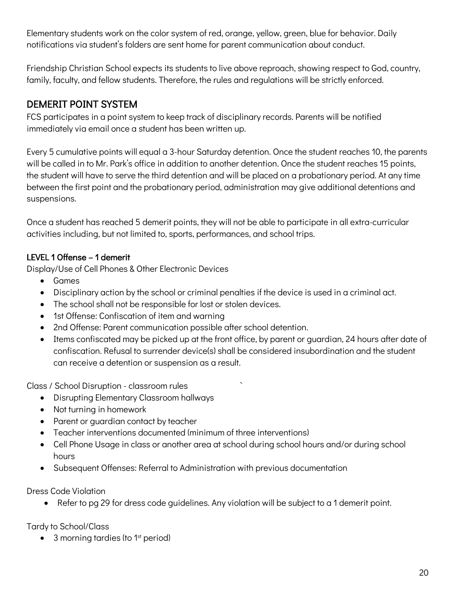Elementary students work on the color system of red, orange, yellow, green, blue for behavior. Daily notifications via student's folders are sent home for parent communication about conduct.

Friendship Christian School expects its students to live above reproach, showing respect to God, country, family, faculty, and fellow students. Therefore, the rules and regulations will be strictly enforced.

#### DEMERIT POINT SYSTEM

FCS participates in a point system to keep track of disciplinary records. Parents will be notified immediately via email once a student has been written up.

Every 5 cumulative points will equal a 3-hour Saturday detention. Once the student reaches 10, the parents will be called in to Mr. Park's office in addition to another detention. Once the student reaches 15 points, the student will have to serve the third detention and will be placed on a probationary period. At any time between the first point and the probationary period, administration may give additional detentions and suspensions.

Once a student has reached 5 demerit points, they will not be able to participate in all extra-curricular activities including, but not limited to, sports, performances, and school trips.

#### LEVEL 1 Offense – 1 demerit

Display/Use of Cell Phones & Other Electronic Devices

- Games
- Disciplinary action by the school or criminal penalties if the device is used in a criminal act.
- The school shall not be responsible for lost or stolen devices.
- 1st Offense: Confiscation of item and warning
- 2nd Offense: Parent communication possible after school detention.
- Items confiscated may be picked up at the front office, by parent or guardian, 24 hours after date of confiscation. Refusal to surrender device(s) shall be considered insubordination and the student can receive a detention or suspension as a result.

Class / School Disruption - classroom rules `

- Disrupting Elementary Classroom hallways
- Not turning in homework
- Parent or guardian contact by teacher
- Teacher interventions documented (minimum of three interventions)
- Cell Phone Usage in class or another area at school during school hours and/or during school hours
- Subsequent Offenses: Referral to Administration with previous documentation

Dress Code Violation

• Refer to pg 29 for dress code guidelines. Any violation will be subject to a 1 demerit point.

Tardy to School/Class

 $\bullet$  3 morning tardies (to 1<sup>st</sup> period)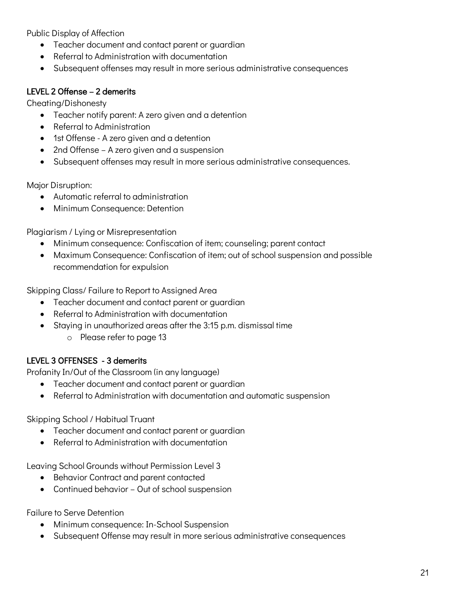Public Display of Affection

- Teacher document and contact parent or guardian
- Referral to Administration with documentation
- Subsequent offenses may result in more serious administrative consequences

#### LEVEL 2 Offense – 2 demerits

Cheating/Dishonesty

- Teacher notify parent: A zero given and a detention
- Referral to Administration
- 1st Offense A zero given and a detention
- 2nd Offense A zero given and a suspension
- Subsequent offenses may result in more serious administrative consequences.

Major Disruption:

- Automatic referral to administration
- Minimum Consequence: Detention

Plagiarism / Lying or Misrepresentation

- Minimum consequence: Confiscation of item; counseling; parent contact
- Maximum Consequence: Confiscation of item; out of school suspension and possible recommendation for expulsion

Skipping Class/ Failure to Report to Assigned Area

- Teacher document and contact parent or guardian
- Referral to Administration with documentation
- Staying in unauthorized areas after the 3:15 p.m. dismissal time
	- o Please refer to page 13

#### LEVEL 3 OFFENSES - 3 demerits

Profanity In/Out of the Classroom (in any language)

- Teacher document and contact parent or guardian
- Referral to Administration with documentation and automatic suspension

Skipping School / Habitual Truant

- Teacher document and contact parent or quardian
- Referral to Administration with documentation

Leaving School Grounds without Permission Level 3

- Behavior Contract and parent contacted
- Continued behavior Out of school suspension

Failure to Serve Detention

- Minimum consequence: In-School Suspension
- Subsequent Offense may result in more serious administrative consequences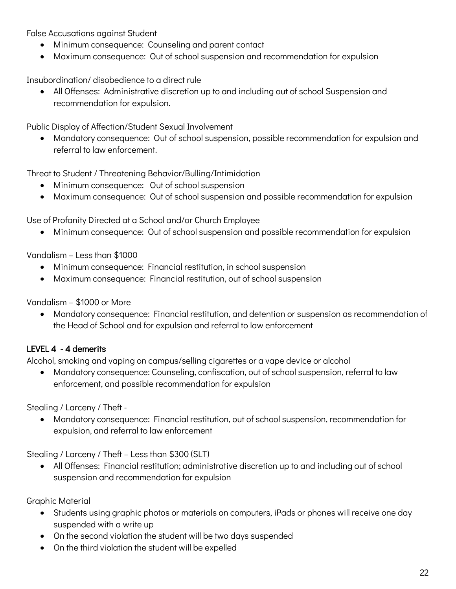False Accusations against Student

- Minimum consequence: Counseling and parent contact
- Maximum consequence: Out of school suspension and recommendation for expulsion

Insubordination/ disobedience to a direct rule

• All Offenses: Administrative discretion up to and including out of school Suspension and recommendation for expulsion.

Public Display of Affection/Student Sexual Involvement

• Mandatory consequence: Out of school suspension, possible recommendation for expulsion and referral to law enforcement.

Threat to Student / Threatening Behavior/Bulling/Intimidation

- Minimum consequence: Out of school suspension
- Maximum consequence: Out of school suspension and possible recommendation for expulsion

Use of Profanity Directed at a School and/or Church Employee

• Minimum consequence: Out of school suspension and possible recommendation for expulsion

Vandalism – Less than \$1000

- Minimum consequence: Financial restitution, in school suspension
- Maximum consequence: Financial restitution, out of school suspension

Vandalism – \$1000 or More

• Mandatory consequence: Financial restitution, and detention or suspension as recommendation of the Head of School and for expulsion and referral to law enforcement

#### LEVEL 4 - 4 demerits

Alcohol, smoking and vaping on campus/selling cigarettes or a vape device or alcohol

• Mandatory consequence: Counseling, confiscation, out of school suspension, referral to law enforcement, and possible recommendation for expulsion

Stealing / Larceny / Theft -

• Mandatory consequence: Financial restitution, out of school suspension, recommendation for expulsion, and referral to law enforcement

Stealing / Larceny / Theft – Less than \$300 (SLT)

• All Offenses: Financial restitution; administrative discretion up to and including out of school suspension and recommendation for expulsion

Graphic Material

- Students using graphic photos or materials on computers, iPads or phones will receive one day suspended with a write up
- On the second violation the student will be two days suspended
- On the third violation the student will be expelled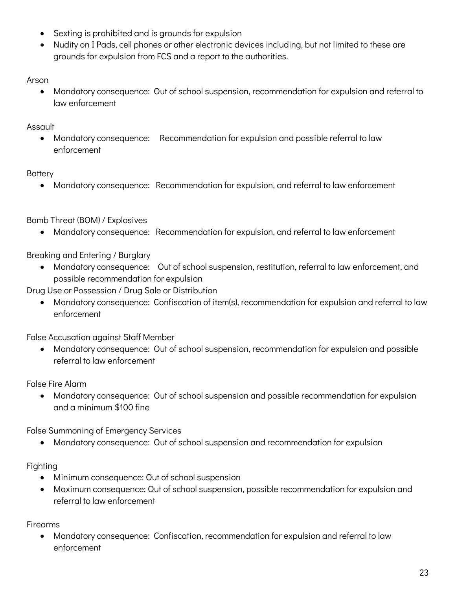- Sexting is prohibited and is grounds for expulsion
- Nudity on I Pads, cell phones or other electronic devices including, but not limited to these are grounds for expulsion from FCS and a report to the authorities.

Arson

• Mandatory consequence: Out of school suspension, recommendation for expulsion and referral to law enforcement

Assault

• Mandatory consequence: Recommendation for expulsion and possible referral to law enforcement

#### **Battery**

• Mandatory consequence: Recommendation for expulsion, and referral to law enforcement

Bomb Threat (BOM) / Explosives

• Mandatory consequence: Recommendation for expulsion, and referral to law enforcement

Breaking and Entering / Burglary

- Mandatory consequence: Out of school suspension, restitution, referral to law enforcement, and possible recommendation for expulsion
- Drug Use or Possession / Drug Sale or Distribution
	- Mandatory consequence: Confiscation of item(s), recommendation for expulsion and referral to law enforcement

False Accusation against Staff Member

• Mandatory consequence: Out of school suspension, recommendation for expulsion and possible referral to law enforcement

False Fire Alarm

• Mandatory consequence: Out of school suspension and possible recommendation for expulsion and a minimum \$100 fine

False Summoning of Emergency Services

• Mandatory consequence: Out of school suspension and recommendation for expulsion

Fighting

- Minimum consequence: Out of school suspension
- Maximum consequence: Out of school suspension, possible recommendation for expulsion and referral to law enforcement

Firearms

• Mandatory consequence: Confiscation, recommendation for expulsion and referral to law enforcement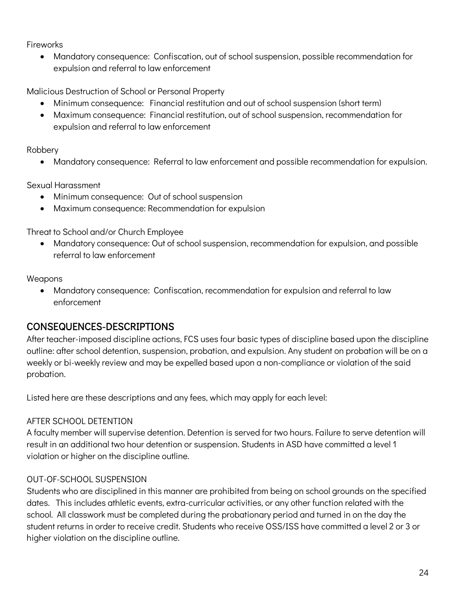Fireworks

• Mandatory consequence: Confiscation, out of school suspension, possible recommendation for expulsion and referral to law enforcement

Malicious Destruction of School or Personal Property

- Minimum consequence: Financial restitution and out of school suspension (short term)
- Maximum consequence: Financial restitution, out of school suspension, recommendation for expulsion and referral to law enforcement

Robbery

• Mandatory consequence: Referral to law enforcement and possible recommendation for expulsion.

Sexual Harassment

- Minimum consequence: Out of school suspension
- Maximum consequence: Recommendation for expulsion

Threat to School and/or Church Employee

• Mandatory consequence: Out of school suspension, recommendation for expulsion, and possible referral to law enforcement

Weapons

• Mandatory consequence: Confiscation, recommendation for expulsion and referral to law enforcement

#### CONSEQUENCES-DESCRIPTIONS

After teacher-imposed discipline actions, FCS uses four basic types of discipline based upon the discipline outline: after school detention, suspension, probation, and expulsion. Any student on probation will be on a weekly or bi-weekly review and may be expelled based upon a non-compliance or violation of the said probation.

Listed here are these descriptions and any fees, which may apply for each level:

#### AFTER SCHOOL DETENTION

A faculty member will supervise detention. Detention is served for two hours. Failure to serve detention will result in an additional two hour detention or suspension. Students in ASD have committed a level 1 violation or higher on the discipline outline.

#### OUT-OF-SCHOOL SUSPENSION

Students who are disciplined in this manner are prohibited from being on school grounds on the specified dates. This includes athletic events, extra-curricular activities, or any other function related with the school. All classwork must be completed during the probationary period and turned in on the day the student returns in order to receive credit. Students who receive OSS/ISS have committed a level 2 or 3 or higher violation on the discipline outline.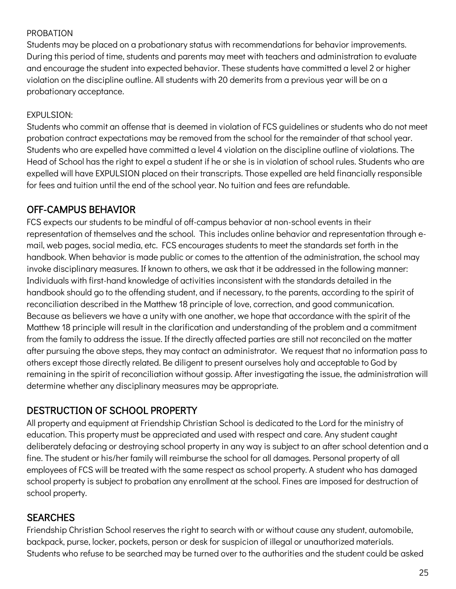#### PROBATION

Students may be placed on a probationary status with recommendations for behavior improvements. During this period of time, students and parents may meet with teachers and administration to evaluate and encourage the student into expected behavior. These students have committed a level 2 or higher violation on the discipline outline. All students with 20 demerits from a previous year will be on a probationary acceptance.

#### EXPULSION:

Students who commit an offense that is deemed in violation of FCS guidelines or students who do not meet probation contract expectations may be removed from the school for the remainder of that school year. Students who are expelled have committed a level 4 violation on the discipline outline of violations. The Head of School has the right to expel a student if he or she is in violation of school rules. Students who are expelled will have EXPULSION placed on their transcripts. Those expelled are held financially responsible for fees and tuition until the end of the school year. No tuition and fees are refundable.

#### OFF-CAMPUS BEHAVIOR

FCS expects our students to be mindful of off-campus behavior at non-school events in their representation of themselves and the school. This includes online behavior and representation through email, web pages, social media, etc. FCS encourages students to meet the standards set forth in the handbook. When behavior is made public or comes to the attention of the administration, the school may invoke disciplinary measures. If known to others, we ask that it be addressed in the following manner: Individuals with first-hand knowledge of activities inconsistent with the standards detailed in the handbook should go to the offending student, and if necessary, to the parents, according to the spirit of reconciliation described in the Matthew 18 principle of love, correction, and good communication. Because as believers we have a unity with one another, we hope that accordance with the spirit of the Matthew 18 principle will result in the clarification and understanding of the problem and a commitment from the family to address the issue. If the directly affected parties are still not reconciled on the matter after pursuing the above steps, they may contact an administrator. We request that no information pass to others except those directly related. Be diligent to present ourselves holy and acceptable to God by remaining in the spirit of reconciliation without gossip. After investigating the issue, the administration will determine whether any disciplinary measures may be appropriate.

#### DESTRUCTION OF SCHOOL PROPERTY

All property and equipment at Friendship Christian School is dedicated to the Lord for the ministry of education. This property must be appreciated and used with respect and care. Any student caught deliberately defacing or destroying school property in any way is subject to an after school detention and a fine. The student or his/her family will reimburse the school for all damages. Personal property of all employees of FCS will be treated with the same respect as school property. A student who has damaged school property is subject to probation any enrollment at the school. Fines are imposed for destruction of school property.

#### **SEARCHES**

Friendship Christian School reserves the right to search with or without cause any student, automobile, backpack, purse, locker, pockets, person or desk for suspicion of illegal or unauthorized materials. Students who refuse to be searched may be turned over to the authorities and the student could be asked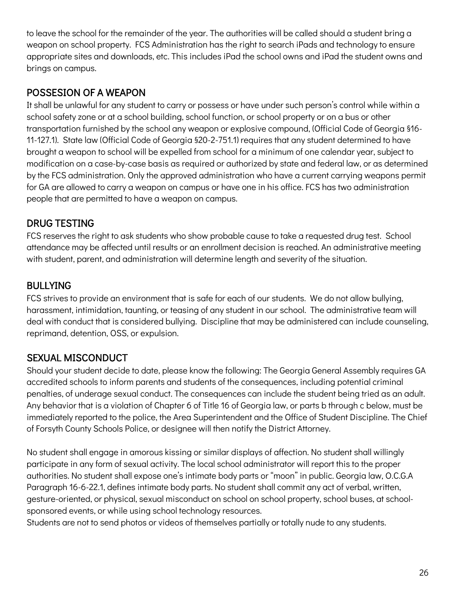to leave the school for the remainder of the year. The authorities will be called should a student bring a weapon on school property. FCS Administration has the right to search iPads and technology to ensure appropriate sites and downloads, etc. This includes iPad the school owns and iPad the student owns and brings on campus.

#### POSSESION OF A WEAPON

It shall be unlawful for any student to carry or possess or have under such person's control while within a school safety zone or at a school building, school function, or school property or on a bus or other transportation furnished by the school any weapon or explosive compound, (Official Code of Georgia §16- 11-127.1). State law (Official Code of Georgia §20-2-751.1) requires that any student determined to have brought a weapon to school will be expelled from school for a minimum of one calendar year, subject to modification on a case-by-case basis as required or authorized by state and federal law, or as determined by the FCS administration. Only the approved administration who have a current carrying weapons permit for GA are allowed to carry a weapon on campus or have one in his office. FCS has two administration people that are permitted to have a weapon on campus.

#### DRUG TESTING

FCS reserves the right to ask students who show probable cause to take a requested drug test. School attendance may be affected until results or an enrollment decision is reached. An administrative meeting with student, parent, and administration will determine length and severity of the situation.

#### BULLYING

FCS strives to provide an environment that is safe for each of our students. We do not allow bullying, harassment, intimidation, taunting, or teasing of any student in our school. The administrative team will deal with conduct that is considered bullying. Discipline that may be administered can include counseling, reprimand, detention, OSS, or expulsion.

#### SEXUAL MISCONDUCT

Should your student decide to date, please know the following: The Georgia General Assembly requires GA accredited schools to inform parents and students of the consequences, including potential criminal penalties, of underage sexual conduct. The consequences can include the student being tried as an adult. Any behavior that is a violation of Chapter 6 of Title 16 of Georgia law, or parts b through c below, must be immediately reported to the police, the Area Superintendent and the Office of Student Discipline. The Chief of Forsyth County Schools Police, or designee will then notify the District Attorney.

No student shall engage in amorous kissing or similar displays of affection. No student shall willingly participate in any form of sexual activity. The local school administrator will report this to the proper authorities. No student shall expose one's intimate body parts or "moon" in public. Georgia law, O.C.G.A Paragraph 16-6-22.1, defines intimate body parts. No student shall commit any act of verbal, written, gesture-oriented, or physical, sexual misconduct on school on school property, school buses, at schoolsponsored events, or while using school technology resources.

Students are not to send photos or videos of themselves partially or totally nude to any students.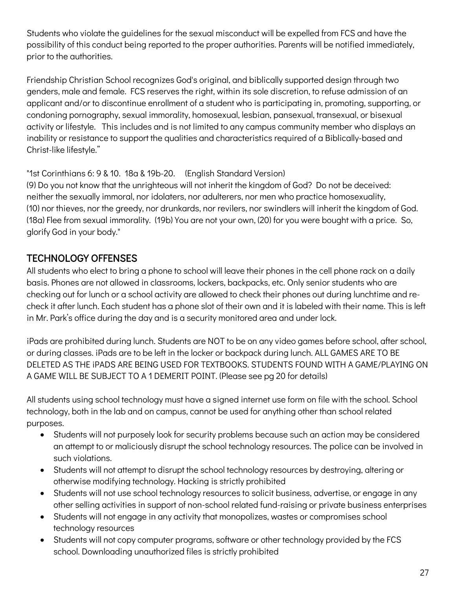Students who violate the guidelines for the sexual misconduct will be expelled from FCS and have the possibility of this conduct being reported to the proper authorities. Parents will be notified immediately, prior to the authorities.

Friendship Christian School recognizes God's original, and biblically supported design through two genders, male and female. FCS reserves the right, within its sole discretion, to refuse admission of an applicant and/or to discontinue enrollment of a student who is participating in, promoting, supporting, or condoning pornography, sexual immorality, homosexual, lesbian, pansexual, transexual, or bisexual activity or lifestyle. This includes and is not limited to any campus community member who displays an inability or resistance to support the qualities and characteristics required of a Biblically-based and Christ-like lifestyle."

#### "1st Corinthians 6: 9 & 10. 18a & 19b-20. (English Standard Version)

(9) Do you not know that the unrighteous will not inherit the kingdom of God? Do not be deceived: neither the sexually immoral, nor idolaters, nor adulterers, nor men who practice homosexuality, (10) nor thieves, nor the greedy, nor drunkards, nor revilers, nor swindlers will inherit the kingdom of God. (18a) Flee from sexual immorality. (19b) You are not your own, (20) for you were bought with a price. So, glorify God in your body."

#### TECHNOLOGY OFFENSES

All students who elect to bring a phone to school will leave their phones in the cell phone rack on a daily basis. Phones are not allowed in classrooms, lockers, backpacks, etc. Only senior students who are checking out for lunch or a school activity are allowed to check their phones out during lunchtime and recheck it after lunch. Each student has a phone slot of their own and it is labeled with their name. This is left in Mr. Park's office during the day and is a security monitored area and under lock.

iPads are prohibited during lunch. Students are NOT to be on any video games before school, after school, or during classes. iPads are to be left in the locker or backpack during lunch. ALL GAMES ARE TO BE DELETED AS THE iPADS ARE BEING USED FOR TEXTBOOKS. STUDENTS FOUND WITH A GAME/PLAYING ON A GAME WILL BE SUBJECT TO A 1 DEMERIT POINT. (Please see pg 20 for details)

All students using school technology must have a signed internet use form on file with the school. School technology, both in the lab and on campus, cannot be used for anything other than school related purposes.

- Students will not purposely look for security problems because such an action may be considered an attempt to or maliciously disrupt the school technology resources. The police can be involved in such violations.
- Students will not attempt to disrupt the school technology resources by destroying, altering or otherwise modifying technology. Hacking is strictly prohibited
- Students will not use school technology resources to solicit business, advertise, or engage in any other selling activities in support of non-school related fund-raising or private business enterprises
- Students will not engage in any activity that monopolizes, wastes or compromises school technology resources
- Students will not copy computer programs, software or other technology provided by the FCS school. Downloading unauthorized files is strictly prohibited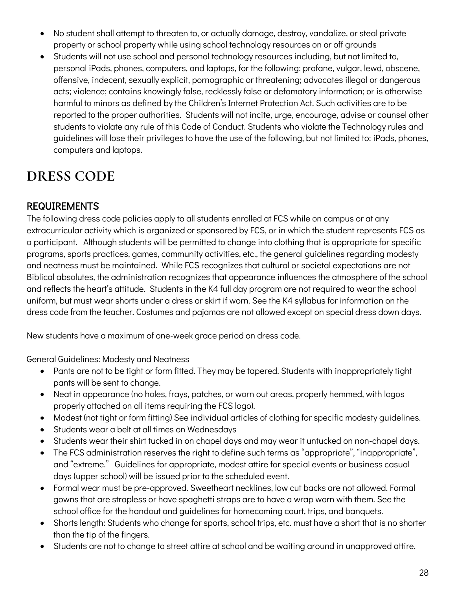- No student shall attempt to threaten to, or actually damage, destroy, vandalize, or steal private property or school property while using school technology resources on or off grounds
- Students will not use school and personal technology resources including, but not limited to, personal iPads, phones, computers, and laptops, for the following: profane, vulgar, lewd, obscene, offensive, indecent, sexually explicit, pornographic or threatening; advocates illegal or dangerous acts; violence; contains knowingly false, recklessly false or defamatory information; or is otherwise harmful to minors as defined by the Children's Internet Protection Act. Such activities are to be reported to the proper authorities. Students will not incite, urge, encourage, advise or counsel other students to violate any rule of this Code of Conduct. Students who violate the Technology rules and guidelines will lose their privileges to have the use of the following, but not limited to: iPads, phones, computers and laptops.

## **DRESS CODE**

#### REQUIREMENTS

The following dress code policies apply to all students enrolled at FCS while on campus or at any extracurricular activity which is organized or sponsored by FCS, or in which the student represents FCS as a participant. Although students will be permitted to change into clothing that is appropriate for specific programs, sports practices, games, community activities, etc., the general guidelines regarding modesty and neatness must be maintained. While FCS recognizes that cultural or societal expectations are not Biblical absolutes, the administration recognizes that appearance influences the atmosphere of the school and reflects the heart's attitude. Students in the K4 full day program are not required to wear the school uniform, but must wear shorts under a dress or skirt if worn. See the K4 syllabus for information on the dress code from the teacher. Costumes and pajamas are not allowed except on special dress down days.

New students have a maximum of one-week grace period on dress code.

General Guidelines: Modesty and Neatness

- Pants are not to be tight or form fitted. They may be tapered. Students with inappropriately tight pants will be sent to change.
- Neat in appearance (no holes, frays, patches, or worn out areas, properly hemmed, with logos properly attached on all items requiring the FCS logo).
- Modest (not tight or form fitting) See individual articles of clothing for specific modesty guidelines.
- Students wear a belt at all times on Wednesdays
- Students wear their shirt tucked in on chapel days and may wear it untucked on non-chapel days.
- The FCS administration reserves the right to define such terms as "appropriate", "inappropriate", and "extreme." Guidelines for appropriate, modest attire for special events or business casual days (upper school) will be issued prior to the scheduled event.
- Formal wear must be pre-approved. Sweetheart necklines, low cut backs are not allowed. Formal gowns that are strapless or have spaghetti straps are to have a wrap worn with them. See the school office for the handout and guidelines for homecoming court, trips, and banquets.
- Shorts length: Students who change for sports, school trips, etc. must have a short that is no shorter than the tip of the fingers.
- Students are not to change to street attire at school and be waiting around in unapproved attire.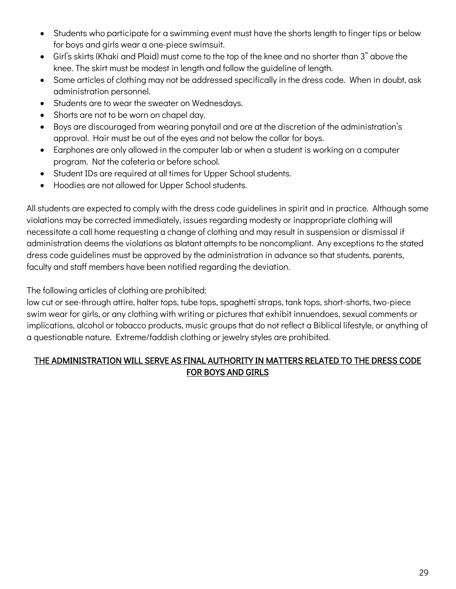- Students who participate for a swimming event must have the shorts length to finger tips or below for boys and girls wear a one-piece swimsuit.
- Girl's skirts (Khaki and Plaid) must come to the top of the knee and no shorter than 3" above the knee. The skirt must be modest in length and follow the guideline of length.
- Some articles of clothing may not be addressed specifically in the dress code. When in doubt, ask administration personnel.
- Students are to wear the sweater on Wednesdays.
- Shorts are not to be worn on chapel day.
- Boys are discouraged from wearing ponytail and are at the discretion of the administration's approval. Hair must be out of the eyes and not below the collar for boys.
- Earphones are only allowed in the computer lab or when a student is working on a computer program. Not the cafeteria or before school.
- Student IDs are required at all times for Upper School students.
- Hoodies are not allowed for Upper School students.

All students are expected to comply with the dress code guidelines in spirit and in practice. Although some violations may be corrected immediately, issues regarding modesty or inappropriate clothing will necessitate a call home requesting a change of clothing and may result in suspension or dismissal if administration deems the violations as blatant attempts to be noncompliant. Any exceptions to the stated dress code guidelines must be approved by the administration in advance so that students, parents, faculty and staff members have been notified regarding the deviation.

The following articles of clothing are prohibited:

low cut or see-through attire, halter tops, tube tops, spaghetti straps, tank tops, short-shorts, two-piece swim wear for girls, or any clothing with writing or pictures that exhibit innuendoes, sexual comments or implications, alcohol or tobacco products, music groups that do not reflect a Biblical lifestyle, or anything of a questionable nature. Extreme/faddish clothing or jewelry styles are prohibited.

#### THE ADMINISTRATION WILL SERVE AS FINAL AUTHORITY IN MATTERS RELATED TO THE DRESS CODE FOR BOYS AND GIRLS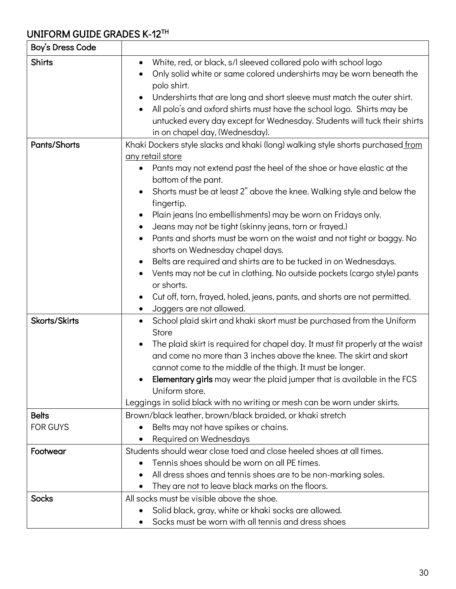## UNIFORM GUIDE GRADES K-12TH

| Boy's Dress Code                |                                                                                                                                                                                                                                                                                                                                                                                                                                                                                                                                                                                                                                                                                                                                                                                                                                                                                   |
|---------------------------------|-----------------------------------------------------------------------------------------------------------------------------------------------------------------------------------------------------------------------------------------------------------------------------------------------------------------------------------------------------------------------------------------------------------------------------------------------------------------------------------------------------------------------------------------------------------------------------------------------------------------------------------------------------------------------------------------------------------------------------------------------------------------------------------------------------------------------------------------------------------------------------------|
| <b>Shirts</b>                   | White, red, or black, s/l sleeved collared polo with school logo<br>$\bullet$<br>Only solid white or same colored undershirts may be worn beneath the<br>polo shirt.<br>Undershirts that are long and short sleeve must match the outer shirt.<br>All polo's and oxford shirts must have the school logo. Shirts may be<br>$\bullet$<br>untucked every day except for Wednesday. Students will tuck their shirts<br>in on chapel day, (Wednesday).                                                                                                                                                                                                                                                                                                                                                                                                                                |
| Pants/Shorts                    | Khaki Dockers style slacks and khaki (long) walking style shorts purchased from<br><u>any retail store</u><br>Pants may not extend past the heel of the shoe or have elastic at the<br>$\bullet$<br>bottom of the pant.<br>Shorts must be at least 2" above the knee. Walking style and below the<br>fingertip.<br>Plain jeans (no embellishments) may be worn on Fridays only.<br>$\bullet$<br>Jeans may not be tight (skinny jeans, torn or frayed.)<br>Pants and shorts must be worn on the waist and not tight or baggy. No<br>$\bullet$<br>shorts on Wednesday chapel days.<br>Belts are required and shirts are to be tucked in on Wednesdays.<br>$\bullet$<br>Vents may not be cut in clothing. No outside pockets (cargo style) pants<br>or shorts.<br>Cut off, torn, frayed, holed, jeans, pants, and shorts are not permitted.<br>Joggers are not allowed.<br>$\bullet$ |
| Skorts/Skirts                   | School plaid skirt and khaki skort must be purchased from the Uniform<br>$\bullet$<br>Store<br>The plaid skirt is required for chapel day. It must fit properly at the waist<br>$\bullet$<br>and come no more than 3 inches above the knee. The skirt and skort<br>cannot come to the middle of the thigh. It must be longer.<br>Elementary girls may wear the plaid jumper that is available in the FCS<br>Uniform store.<br>Leggings in solid black with no writing or mesh can be worn under skirts.                                                                                                                                                                                                                                                                                                                                                                           |
| <b>Belts</b><br><b>FOR GUYS</b> | Brown/black leather, brown/black braided, or khaki stretch<br>Belts may not have spikes or chains.<br>Required on Wednesdays                                                                                                                                                                                                                                                                                                                                                                                                                                                                                                                                                                                                                                                                                                                                                      |
| Footwear                        | Students should wear close toed and close heeled shoes at all times.<br>Tennis shoes should be worn on all PE times.<br>All dress shoes and tennis shoes are to be non-marking soles.<br>They are not to leave black marks on the floors.                                                                                                                                                                                                                                                                                                                                                                                                                                                                                                                                                                                                                                         |
| <b>Socks</b>                    | All socks must be visible above the shoe.<br>Solid black, gray, white or khaki socks are allowed.<br>Socks must be worn with all tennis and dress shoes                                                                                                                                                                                                                                                                                                                                                                                                                                                                                                                                                                                                                                                                                                                           |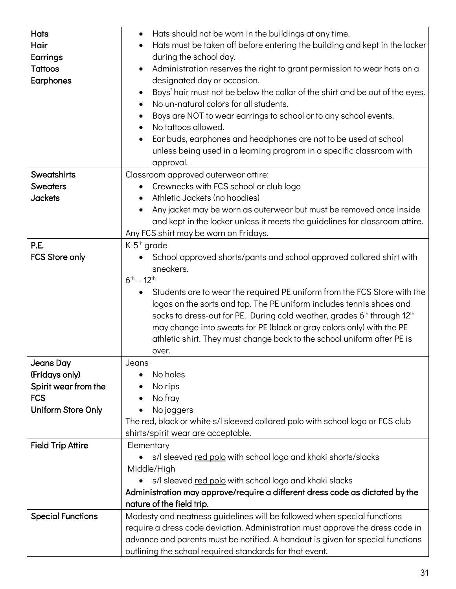| <b>Hats</b>              | Hats should not be worn in the buildings at any time.<br>$\bullet$                              |
|--------------------------|-------------------------------------------------------------------------------------------------|
| Hair                     | Hats must be taken off before entering the building and kept in the locker                      |
| Earrings                 | during the school day.                                                                          |
| <b>Tattoos</b>           | Administration reserves the right to grant permission to wear hats on a                         |
| Earphones                | designated day or occasion.                                                                     |
|                          | Boys' hair must not be below the collar of the shirt and be out of the eyes.                    |
|                          | No un-natural colors for all students.<br>$\bullet$                                             |
|                          | Boys are NOT to wear earrings to school or to any school events.                                |
|                          | No tattoos allowed.<br>$\bullet$                                                                |
|                          | Ear buds, earphones and headphones are not to be used at school                                 |
|                          | unless being used in a learning program in a specific classroom with                            |
|                          | approval.                                                                                       |
| Sweatshirts              | Classroom approved outerwear attire:                                                            |
| <b>Sweaters</b>          | Crewnecks with FCS school or club logo                                                          |
| <b>Jackets</b>           | Athletic Jackets (no hoodies)                                                                   |
|                          | Any jacket may be worn as outerwear but must be removed once inside                             |
|                          | and kept in the locker unless it meets the guidelines for classroom attire.                     |
|                          | Any FCS shirt may be worn on Fridays.                                                           |
| P.E.                     | K-5 <sup>th</sup> grade                                                                         |
| <b>FCS Store only</b>    | School approved shorts/pants and school approved collared shirt with                            |
|                          | sneakers.                                                                                       |
|                          | $6^{th} - 12^{th}$                                                                              |
|                          | Students are to wear the required PE uniform from the FCS Store with the<br>$\bullet$           |
|                          | logos on the sorts and top. The PE uniform includes tennis shoes and                            |
|                          | socks to dress-out for PE. During cold weather, grades 6 <sup>th</sup> through 12 <sup>th</sup> |
|                          | may change into sweats for PE (black or gray colors only) with the PE                           |
|                          | athletic shirt. They must change back to the school uniform after PE is                         |
|                          | over.                                                                                           |
| <b>Jeans Day</b>         | Jeans                                                                                           |
| (Fridays only)           | No holes                                                                                        |
| Spirit wear from the     | No rips                                                                                         |
| <b>FCS</b>               | No fray                                                                                         |
| Uniform Store Only       | No joggers                                                                                      |
|                          | The red, black or white s/l sleeved collared polo with school logo or FCS club                  |
|                          | shirts/spirit wear are acceptable.                                                              |
| <b>Field Trip Attire</b> | Elementary                                                                                      |
|                          | s/l sleeved red polo with school logo and khaki shorts/slacks<br>$\bullet$                      |
|                          | Middle/High                                                                                     |
|                          | s/l sleeved red polo with school logo and khaki slacks                                          |
|                          | Administration may approve/require a different dress code as dictated by the                    |
|                          | nature of the field trip.                                                                       |
| <b>Special Functions</b> | Modesty and neatness guidelines will be followed when special functions                         |
|                          | require a dress code deviation. Administration must approve the dress code in                   |
|                          | advance and parents must be notified. A handout is given for special functions                  |
|                          | outlining the school required standards for that event.                                         |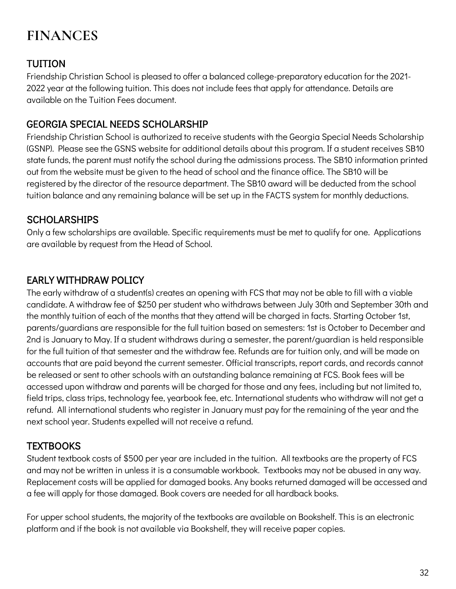## **FINANCES**

#### TUITION

Friendship Christian School is pleased to offer a balanced college-preparatory education for the 2021- 2022 year at the following tuition. This does not include fees that apply for attendance. Details are available on the Tuition Fees document.

#### GEORGIA SPECIAL NEEDS SCHOLARSHIP

Friendship Christian School is authorized to receive students with the Georgia Special Needs Scholarship (GSNP). Please see the GSNS website for additional details about this program. If a student receives SB10 state funds, the parent must notify the school during the admissions process. The SB10 information printed out from the website must be given to the head of school and the finance office. The SB10 will be registered by the director of the resource department. The SB10 award will be deducted from the school tuition balance and any remaining balance will be set up in the FACTS system for monthly deductions.

#### **SCHOLARSHIPS**

Only a few scholarships are available. Specific requirements must be met to qualify for one. Applications are available by request from the Head of School.

#### EARLY WITHDRAW POLICY

The early withdraw of a student(s) creates an opening with FCS that may not be able to fill with a viable candidate. A withdraw fee of \$250 per student who withdraws between July 30th and September 30th and the monthly tuition of each of the months that they attend will be charged in facts. Starting October 1st, parents/guardians are responsible for the full tuition based on semesters: 1st is October to December and 2nd is January to May. If a student withdraws during a semester, the parent/guardian is held responsible for the full tuition of that semester and the withdraw fee. Refunds are for tuition only, and will be made on accounts that are paid beyond the current semester. Official transcripts, report cards, and records cannot be released or sent to other schools with an outstanding balance remaining at FCS. Book fees will be accessed upon withdraw and parents will be charged for those and any fees, including but not limited to, field trips, class trips, technology fee, yearbook fee, etc. International students who withdraw will not get a refund. All international students who register in January must pay for the remaining of the year and the next school year. Students expelled will not receive a refund.

#### **TEXTBOOKS**

Student textbook costs of \$500 per year are included in the tuition. All textbooks are the property of FCS and may not be written in unless it is a consumable workbook. Textbooks may not be abused in any way. Replacement costs will be applied for damaged books. Any books returned damaged will be accessed and a fee will apply for those damaged. Book covers are needed for all hardback books.

For upper school students, the majority of the textbooks are available on Bookshelf. This is an electronic platform and if the book is not available via Bookshelf, they will receive paper copies.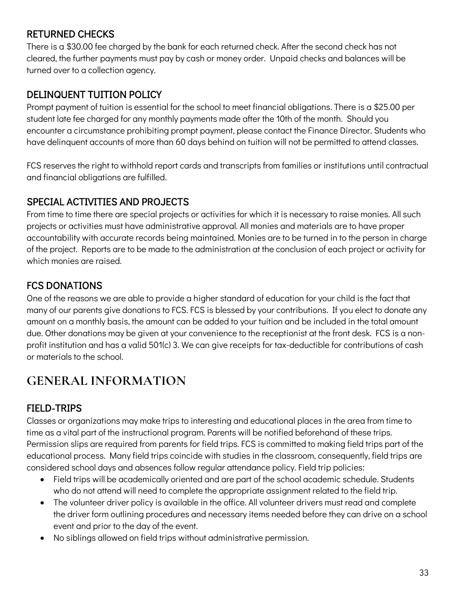#### RETURNED CHECKS

There is a \$30.00 fee charged by the bank for each returned check. After the second check has not cleared, the further payments must pay by cash or money order. Unpaid checks and balances will be turned over to a collection agency.

#### DELINQUENT TUITION POLICY

Prompt payment of tuition is essential for the school to meet financial obligations. There is a \$25.00 per student late fee charged for any monthly payments made after the 10th of the month. Should you encounter a circumstance prohibiting prompt payment, please contact the Finance Director. Students who have delinquent accounts of more than 60 days behind on tuition will not be permitted to attend classes.

FCS reserves the right to withhold report cards and transcripts from families or institutions until contractual and financial obligations are fulfilled.

#### SPECIAL ACTIVITIES AND PROJECTS

From time to time there are special projects or activities for which it is necessary to raise monies. All such projects or activities must have administrative approval. All monies and materials are to have proper accountability with accurate records being maintained. Monies are to be turned in to the person in charge of the project. Reports are to be made to the administration at the conclusion of each project or activity for which monies are raised.

#### FCS DONATIONS

One of the reasons we are able to provide a higher standard of education for your child is the fact that many of our parents give donations to FCS. FCS is blessed by your contributions. If you elect to donate any amount on a monthly basis, the amount can be added to your tuition and be included in the total amount due. Other donations may be given at your convenience to the receptionist at the front desk. FCS is a nonprofit institution and has a valid 501(c) 3. We can give receipts for tax-deductible for contributions of cash or materials to the school.

#### **GENERAL INFORMATION**

#### FIELD-TRIPS

Classes or organizations may make trips to interesting and educational places in the area from time to time as a vital part of the instructional program. Parents will be notified beforehand of these trips. Permission slips are required from parents for field trips. FCS is committed to making field trips part of the educational process. Many field trips coincide with studies in the classroom, consequently, field trips are considered school days and absences follow regular attendance policy. Field trip policies:

- Field trips will be academically oriented and are part of the school academic schedule. Students who do not attend will need to complete the appropriate assignment related to the field trip.
- The volunteer driver policy is available in the office. All volunteer drivers must read and complete the driver form outlining procedures and necessary items needed before they can drive on a school event and prior to the day of the event.
- No siblings allowed on field trips without administrative permission.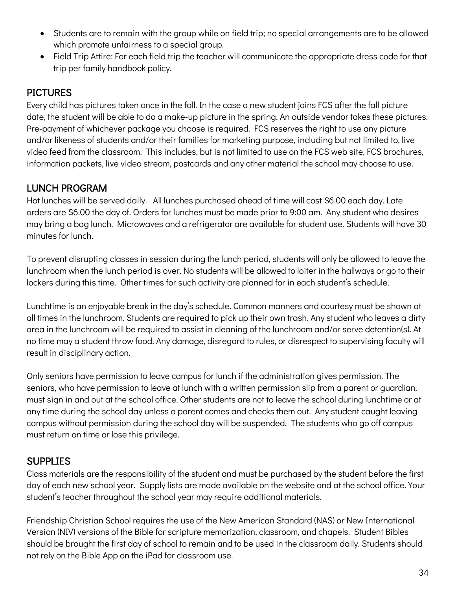- Students are to remain with the group while on field trip; no special arrangements are to be allowed which promote unfairness to a special group.
- Field Trip Attire: For each field trip the teacher will communicate the appropriate dress code for that trip per family handbook policy.

#### **PICTURES**

Every child has pictures taken once in the fall. In the case a new student joins FCS after the fall picture date, the student will be able to do a make-up picture in the spring. An outside vendor takes these pictures. Pre-payment of whichever package you choose is required. FCS reserves the right to use any picture and/or likeness of students and/or their families for marketing purpose, including but not limited to, live video feed from the classroom. This includes, but is not limited to use on the FCS web site, FCS brochures, information packets, live video stream, postcards and any other material the school may choose to use.

#### LUNCH PROGRAM

Hot lunches will be served daily. All lunches purchased ahead of time will cost \$6.00 each day. Late orders are \$6.00 the day of. Orders for lunches must be made prior to 9:00 am. Any student who desires may bring a bag lunch. Microwaves and a refrigerator are available for student use. Students will have 30 minutes for lunch.

To prevent disrupting classes in session during the lunch period, students will only be allowed to leave the lunchroom when the lunch period is over. No students will be allowed to loiter in the hallways or go to their lockers during this time. Other times for such activity are planned for in each student's schedule.

Lunchtime is an enjoyable break in the day's schedule. Common manners and courtesy must be shown at all times in the lunchroom. Students are required to pick up their own trash. Any student who leaves a dirty area in the lunchroom will be required to assist in cleaning of the lunchroom and/or serve detention(s). At no time may a student throw food. Any damage, disregard to rules, or disrespect to supervising faculty will result in disciplinary action.

Only seniors have permission to leave campus for lunch if the administration gives permission. The seniors, who have permission to leave at lunch with a written permission slip from a parent or guardian, must sign in and out at the school office. Other students are not to leave the school during lunchtime or at any time during the school day unless a parent comes and checks them out. Any student caught leaving campus without permission during the school day will be suspended. The students who go off campus must return on time or lose this privilege.

#### **SUPPLIES**

Class materials are the responsibility of the student and must be purchased by the student before the first day of each new school year. Supply lists are made available on the website and at the school office. Your student's teacher throughout the school year may require additional materials.

Friendship Christian School requires the use of the New American Standard (NAS) or New International Version (NIV) versions of the Bible for scripture memorization, classroom, and chapels. Student Bibles should be brought the first day of school to remain and to be used in the classroom daily. Students should not rely on the Bible App on the iPad for classroom use.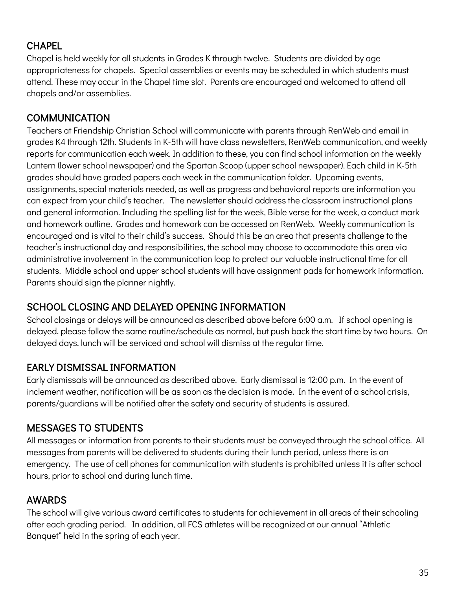#### **CHAPEL**

Chapel is held weekly for all students in Grades K through twelve. Students are divided by age appropriateness for chapels. Special assemblies or events may be scheduled in which students must attend. These may occur in the Chapel time slot. Parents are encouraged and welcomed to attend all chapels and/or assemblies.

#### COMMUNICATION

Teachers at Friendship Christian School will communicate with parents through RenWeb and email in grades K4 through 12th. Students in K-5th will have class newsletters, RenWeb communication, and weekly reports for communication each week. In addition to these, you can find school information on the weekly Lantern (lower school newspaper) and the Spartan Scoop (upper school newspaper). Each child in K-5th grades should have graded papers each week in the communication folder. Upcoming events, assignments, special materials needed, as well as progress and behavioral reports are information you can expect from your child's teacher. The newsletter should address the classroom instructional plans and general information. Including the spelling list for the week, Bible verse for the week, a conduct mark and homework outline. Grades and homework can be accessed on RenWeb. Weekly communication is encouraged and is vital to their child's success. Should this be an area that presents challenge to the teacher's instructional day and responsibilities, the school may choose to accommodate this area via administrative involvement in the communication loop to protect our valuable instructional time for all students. Middle school and upper school students will have assignment pads for homework information. Parents should sign the planner nightly.

#### SCHOOL CLOSING AND DELAYED OPENING INFORMATION

School closings or delays will be announced as described above before 6:00 a.m. If school opening is delayed, please follow the same routine/schedule as normal, but push back the start time by two hours. On delayed days, lunch will be serviced and school will dismiss at the regular time.

#### EARLY DISMISSAL INFORMATION

Early dismissals will be announced as described above. Early dismissal is 12:00 p.m. In the event of inclement weather, notification will be as soon as the decision is made. In the event of a school crisis, parents/guardians will be notified after the safety and security of students is assured.

#### MESSAGES TO STUDENTS

All messages or information from parents to their students must be conveyed through the school office. All messages from parents will be delivered to students during their lunch period, unless there is an emergency. The use of cell phones for communication with students is prohibited unless it is after school hours, prior to school and during lunch time.

#### AWARDS

The school will give various award certificates to students for achievement in all areas of their schooling after each grading period. In addition, all FCS athletes will be recognized at our annual "Athletic Banquet" held in the spring of each year.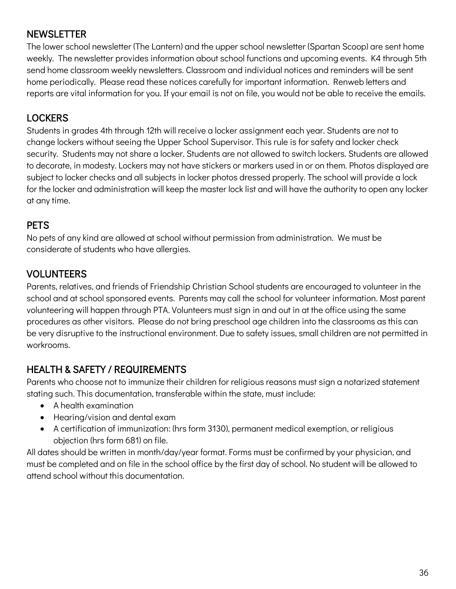#### **NEWSLETTER**

The lower school newsletter (The Lantern) and the upper school newsletter (Spartan Scoop) are sent home weekly. The newsletter provides information about school functions and upcoming events. K4 through 5th send home classroom weekly newsletters. Classroom and individual notices and reminders will be sent home periodically. Please read these notices carefully for important information. Renweb letters and reports are vital information for you. If your email is not on file, you would not be able to receive the emails.

#### **LOCKERS**

Students in grades 4th through 12th will receive a locker assignment each year. Students are not to change lockers without seeing the Upper School Supervisor. This rule is for safety and locker check security. Students may not share a locker. Students are not allowed to switch lockers. Students are allowed to decorate, in modesty. Lockers may not have stickers or markers used in or on them. Photos displayed are subject to locker checks and all subjects in locker photos dressed properly. The school will provide a lock for the locker and administration will keep the master lock list and will have the authority to open any locker at any time.

#### **PETS**

No pets of any kind are allowed at school without permission from administration. We must be considerate of students who have allergies.

#### VOLUNTEERS

Parents, relatives, and friends of Friendship Christian School students are encouraged to volunteer in the school and at school sponsored events. Parents may call the school for volunteer information. Most parent volunteering will happen through PTA. Volunteers must sign in and out in at the office using the same procedures as other visitors. Please do not bring preschool age children into the classrooms as this can be very disruptive to the instructional environment. Due to safety issues, small children are not permitted in workrooms.

#### HEALTH & SAFETY / REQUIREMENTS

Parents who choose not to immunize their children for religious reasons must sign a notarized statement stating such. This documentation, transferable within the state, must include:

- A health examination
- Hearing/vision and dental exam
- A certification of immunization: (hrs form 3130), permanent medical exemption, or religious objection (hrs form 681) on file.

All dates should be written in month/day/year format. Forms must be confirmed by your physician, and must be completed and on file in the school office by the first day of school. No student will be allowed to attend school without this documentation.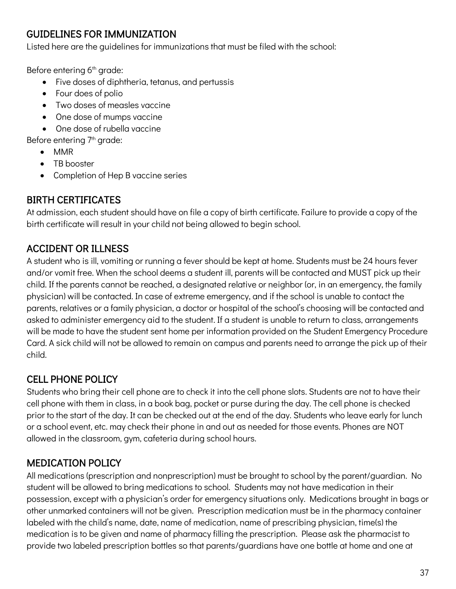#### GUIDELINES FOR IMMUNIZATION

Listed here are the guidelines for immunizations that must be filed with the school:

Before entering 6<sup>th</sup> grade:

- Five doses of diphtheria, tetanus, and pertussis
- Four does of polio
- Two doses of measles vaccine
- One dose of mumps vaccine
- One dose of rubella vaccine

Before entering 7<sup>th</sup> grade:

- MMR
- TB booster
- Completion of Hep B vaccine series

#### BIRTH CERTIFICATES

At admission, each student should have on file a copy of birth certificate. Failure to provide a copy of the birth certificate will result in your child not being allowed to begin school.

#### ACCIDENT OR ILLNESS

A student who is ill, vomiting or running a fever should be kept at home. Students must be 24 hours fever and/or vomit free. When the school deems a student ill, parents will be contacted and MUST pick up their child. If the parents cannot be reached, a designated relative or neighbor (or, in an emergency, the family physician) will be contacted. In case of extreme emergency, and if the school is unable to contact the parents, relatives or a family physician, a doctor or hospital of the school's choosing will be contacted and asked to administer emergency aid to the student. If a student is unable to return to class, arrangements will be made to have the student sent home per information provided on the Student Emergency Procedure Card. A sick child will not be allowed to remain on campus and parents need to arrange the pick up of their child.

#### CELL PHONE POLICY

Students who bring their cell phone are to check it into the cell phone slots. Students are not to have their cell phone with them in class, in a book bag, pocket or purse during the day. The cell phone is checked prior to the start of the day. It can be checked out at the end of the day. Students who leave early for lunch or a school event, etc. may check their phone in and out as needed for those events. Phones are NOT allowed in the classroom, gym, cafeteria during school hours.

#### MEDICATION POLICY

All medications (prescription and nonprescription) must be brought to school by the parent/guardian. No student will be allowed to bring medications to school. Students may not have medication in their possession, except with a physician's order for emergency situations only. Medications brought in bags or other unmarked containers will not be given. Prescription medication must be in the pharmacy container labeled with the child's name, date, name of medication, name of prescribing physician, time(s) the medication is to be given and name of pharmacy filling the prescription. Please ask the pharmacist to provide two labeled prescription bottles so that parents/guardians have one bottle at home and one at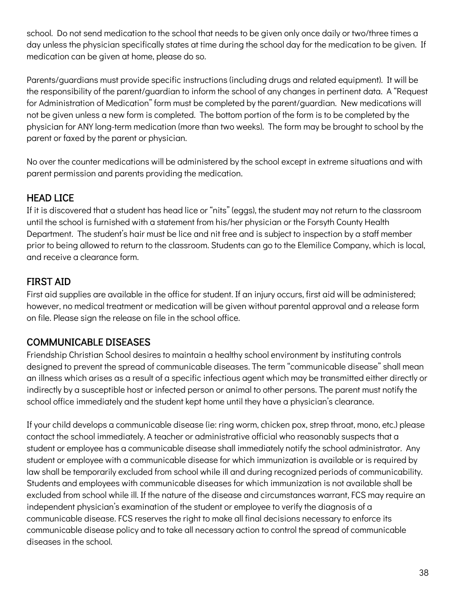school. Do not send medication to the school that needs to be given only once daily or two/three times a day unless the physician specifically states at time during the school day for the medication to be given. If medication can be given at home, please do so.

Parents/guardians must provide specific instructions (including drugs and related equipment). It will be the responsibility of the parent/guardian to inform the school of any changes in pertinent data. A "Request for Administration of Medication" form must be completed by the parent/guardian. New medications will not be given unless a new form is completed. The bottom portion of the form is to be completed by the physician for ANY long-term medication (more than two weeks). The form may be brought to school by the parent or faxed by the parent or physician.

No over the counter medications will be administered by the school except in extreme situations and with parent permission and parents providing the medication.

#### HEAD LICE

If it is discovered that a student has head lice or "nits" (eggs), the student may not return to the classroom until the school is furnished with a statement from his/her physician or the Forsyth County Health Department. The student's hair must be lice and nit free and is subject to inspection by a staff member prior to being allowed to return to the classroom. Students can go to the Elemilice Company, which is local, and receive a clearance form.

#### FIRST AID

First aid supplies are available in the office for student. If an injury occurs, first aid will be administered; however, no medical treatment or medication will be given without parental approval and a release form on file. Please sign the release on file in the school office.

#### COMMUNICABLE DISEASES

Friendship Christian School desires to maintain a healthy school environment by instituting controls designed to prevent the spread of communicable diseases. The term "communicable disease" shall mean an illness which arises as a result of a specific infectious agent which may be transmitted either directly or indirectly by a susceptible host or infected person or animal to other persons. The parent must notify the school office immediately and the student kept home until they have a physician's clearance.

If your child develops a communicable disease (ie: ring worm, chicken pox, strep throat, mono, etc.) please contact the school immediately. A teacher or administrative official who reasonably suspects that a student or employee has a communicable disease shall immediately notify the school administrator. Any student or employee with a communicable disease for which immunization is available or is required by law shall be temporarily excluded from school while ill and during recognized periods of communicability. Students and employees with communicable diseases for which immunization is not available shall be excluded from school while ill. If the nature of the disease and circumstances warrant, FCS may require an independent physician's examination of the student or employee to verify the diagnosis of a communicable disease. FCS reserves the right to make all final decisions necessary to enforce its communicable disease policy and to take all necessary action to control the spread of communicable diseases in the school.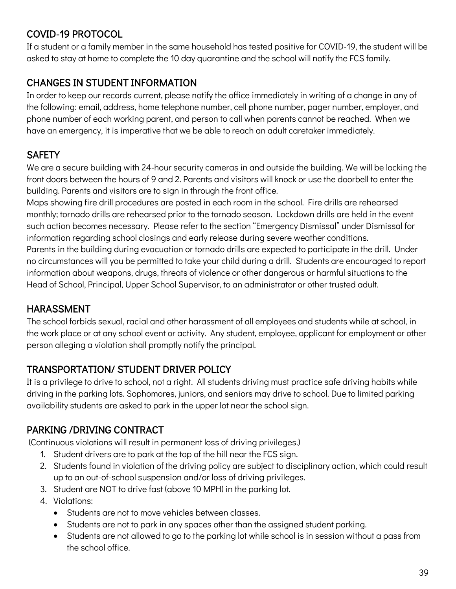#### COVID-19 PROTOCOL

If a student or a family member in the same household has tested positive for COVID-19, the student will be asked to stay at home to complete the 10 day quarantine and the school will notify the FCS family.

#### CHANGES IN STUDENT INFORMATION

In order to keep our records current, please notify the office immediately in writing of a change in any of the following: email, address, home telephone number, cell phone number, pager number, employer, and phone number of each working parent, and person to call when parents cannot be reached. When we have an emergency, it is imperative that we be able to reach an adult caretaker immediately.

#### **SAFETY**

We are a secure building with 24-hour security cameras in and outside the building. We will be locking the front doors between the hours of 9 and 2. Parents and visitors will knock or use the doorbell to enter the building. Parents and visitors are to sign in through the front office.

Maps showing fire drill procedures are posted in each room in the school. Fire drills are rehearsed monthly; tornado drills are rehearsed prior to the tornado season. Lockdown drills are held in the event such action becomes necessary. Please refer to the section "Emergency Dismissal" under Dismissal for information regarding school closings and early release during severe weather conditions. Parents in the building during evacuation or tornado drills are expected to participate in the drill. Under no circumstances will you be permitted to take your child during a drill. Students are encouraged to report information about weapons, drugs, threats of violence or other dangerous or harmful situations to the Head of School, Principal, Upper School Supervisor, to an administrator or other trusted adult.

#### HARASSMENT

The school forbids sexual, racial and other harassment of all employees and students while at school, in the work place or at any school event or activity. Any student, employee, applicant for employment or other person alleging a violation shall promptly notify the principal.

#### TRANSPORTATION/ STUDENT DRIVER POLICY

It is a privilege to drive to school, not a right. All students driving must practice safe driving habits while driving in the parking lots. Sophomores, juniors, and seniors may drive to school. Due to limited parking availability students are asked to park in the upper lot near the school sign.

#### PARKING /DRIVING CONTRACT

(Continuous violations will result in permanent loss of driving privileges.)

- 1. Student drivers are to park at the top of the hill near the FCS sign.
- 2. Students found in violation of the driving policy are subject to disciplinary action, which could result up to an out-of-school suspension and/or loss of driving privileges.
- 3. Student are NOT to drive fast (above 10 MPH) in the parking lot.
- 4. Violations:
	- Students are not to move vehicles between classes.
	- Students are not to park in any spaces other than the assigned student parking.
	- Students are not allowed to go to the parking lot while school is in session without a pass from the school office.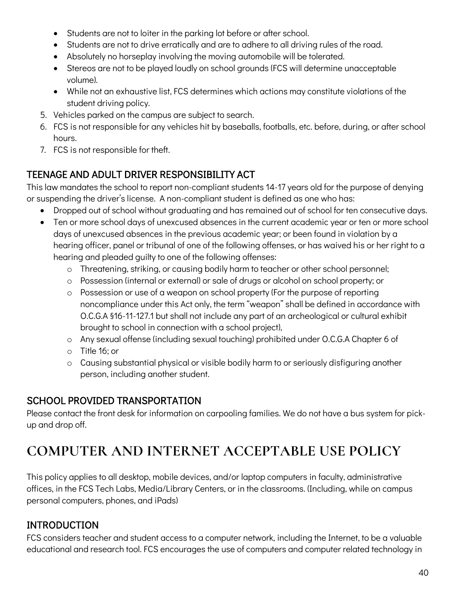- Students are not to loiter in the parking lot before or after school.
- Students are not to drive erratically and are to adhere to all driving rules of the road.
- Absolutely no horseplay involving the moving automobile will be tolerated.
- Stereos are not to be played loudly on school grounds (FCS will determine unacceptable volume).
- While not an exhaustive list, FCS determines which actions may constitute violations of the student driving policy.
- 5. Vehicles parked on the campus are subject to search.
- 6. FCS is not responsible for any vehicles hit by baseballs, footballs, etc. before, during, or after school hours.
- 7. FCS is not responsible for theft.

#### TEENAGE AND ADULT DRIVER RESPONSIBILITY ACT

This law mandates the school to report non-compliant students 14-17 years old for the purpose of denying or suspending the driver's license. A non-compliant student is defined as one who has:

- Dropped out of school without graduating and has remained out of school for ten consecutive days.
- Ten or more school days of unexcused absences in the current academic year or ten or more school days of unexcused absences in the previous academic year; or been found in violation by a hearing officer, panel or tribunal of one of the following offenses, or has waived his or her right to a hearing and pleaded guilty to one of the following offenses:
	- o Threatening, striking, or causing bodily harm to teacher or other school personnel;
	- o Possession (internal or external) or sale of drugs or alcohol on school property; or
	- o Possession or use of a weapon on school property (For the purpose of reporting noncompliance under this Act only, the term "weapon" shall be defined in accordance with O.C.G.A §16-11-127.1 but shall not include any part of an archeological or cultural exhibit brought to school in connection with a school project),
	- o Any sexual offense (including sexual touching) prohibited under O.C.G.A Chapter 6 of
	- o Title 16; or
	- o Causing substantial physical or visible bodily harm to or seriously disfiguring another person, including another student.

#### SCHOOL PROVIDED TRANSPORTATION

Please contact the front desk for information on carpooling families. We do not have a bus system for pickup and drop off.

## **COMPUTER AND INTERNET ACCEPTABLE USE POLICY**

This policy applies to all desktop, mobile devices, and/or laptop computers in faculty, administrative offices, in the FCS Tech Labs, Media/Library Centers, or in the classrooms. (Including, while on campus personal computers, phones, and iPads)

#### INTRODUCTION

FCS considers teacher and student access to a computer network, including the Internet, to be a valuable educational and research tool. FCS encourages the use of computers and computer related technology in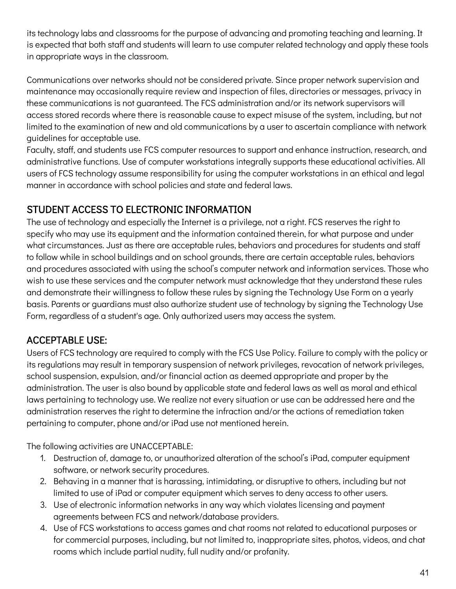its technology labs and classrooms for the purpose of advancing and promoting teaching and learning. It is expected that both staff and students will learn to use computer related technology and apply these tools in appropriate ways in the classroom.

Communications over networks should not be considered private. Since proper network supervision and maintenance may occasionally require review and inspection of files, directories or messages, privacy in these communications is not guaranteed. The FCS administration and/or its network supervisors will access stored records where there is reasonable cause to expect misuse of the system, including, but not limited to the examination of new and old communications by a user to ascertain compliance with network guidelines for acceptable use.

Faculty, staff, and students use FCS computer resources to support and enhance instruction, research, and administrative functions. Use of computer workstations integrally supports these educational activities. All users of FCS technology assume responsibility for using the computer workstations in an ethical and legal manner in accordance with school policies and state and federal laws.

#### STUDENT ACCESS TO ELECTRONIC INFORMATION

The use of technology and especially the Internet is a privilege, not a right. FCS reserves the right to specify who may use its equipment and the information contained therein, for what purpose and under what circumstances. Just as there are acceptable rules, behaviors and procedures for students and staff to follow while in school buildings and on school grounds, there are certain acceptable rules, behaviors and procedures associated with using the school's computer network and information services. Those who wish to use these services and the computer network must acknowledge that they understand these rules and demonstrate their willingness to follow these rules by signing the Technology Use Form on a yearly basis. Parents or guardians must also authorize student use of technology by signing the Technology Use Form, regardless of a student's age. Only authorized users may access the system.

#### ACCEPTABLE USE:

Users of FCS technology are required to comply with the FCS Use Policy. Failure to comply with the policy or its regulations may result in temporary suspension of network privileges, revocation of network privileges, school suspension, expulsion, and/or financial action as deemed appropriate and proper by the administration. The user is also bound by applicable state and federal laws as well as moral and ethical laws pertaining to technology use. We realize not every situation or use can be addressed here and the administration reserves the right to determine the infraction and/or the actions of remediation taken pertaining to computer, phone and/or iPad use not mentioned herein.

The following activities are UNACCEPTABLE:

- 1. Destruction of, damage to, or unauthorized alteration of the school's iPad, computer equipment software, or network security procedures.
- 2. Behaving in a manner that is harassing, intimidating, or disruptive to others, including but not limited to use of iPad or computer equipment which serves to deny access to other users.
- 3. Use of electronic information networks in any way which violates licensing and payment agreements between FCS and network/database providers.
- 4. Use of FCS workstations to access games and chat rooms not related to educational purposes or for commercial purposes, including, but not limited to, inappropriate sites, photos, videos, and chat rooms which include partial nudity, full nudity and/or profanity.